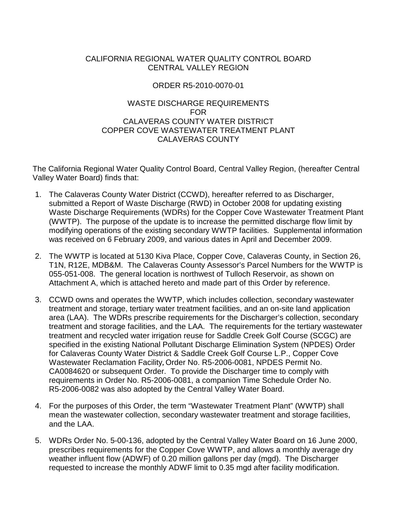# CALIFORNIA REGIONAL WATER QUALITY CONTROL BOARD CENTRAL VALLEY REGION

# ORDER R5-2010-0070-01

# WASTE DISCHARGE REQUIREMENTS FOR CALAVERAS COUNTY WATER DISTRICT COPPER COVE WASTEWATER TREATMENT PLANT CALAVERAS COUNTY

The California Regional Water Quality Control Board, Central Valley Region, (hereafter Central Valley Water Board) finds that:

- 1. The Calaveras County Water District (CCWD), hereafter referred to as Discharger, submitted a Report of Waste Discharge (RWD) in October 2008 for updating existing Waste Discharge Requirements (WDRs) for the Copper Cove Wastewater Treatment Plant (WWTP). The purpose of the update is to increase the permitted discharge flow limit by modifying operations of the existing secondary WWTP facilities. Supplemental information was received on 6 February 2009, and various dates in April and December 2009.
- 2. The WWTP is located at 5130 Kiva Place, Copper Cove, Calaveras County, in Section 26, T1N, R12E, MDB&M. The Calaveras County Assessor's Parcel Numbers for the WWTP is 055-051-008. The general location is northwest of Tulloch Reservoir, as shown on Attachment A, which is attached hereto and made part of this Order by reference.
- 3. CCWD owns and operates the WWTP, which includes collection, secondary wastewater treatment and storage, tertiary water treatment facilities, and an on-site land application area (LAA). The WDRs prescribe requirements for the Discharger's collection, secondary treatment and storage facilities, and the LAA. The requirements for the tertiary wastewater treatment and recycled water irrigation reuse for Saddle Creek Golf Course (SCGC) are specified in the existing National Pollutant Discharge Elimination System (NPDES) Order for Calaveras County Water District & Saddle Creek Golf Course L.P., Copper Cove Wastewater Reclamation Facility**,** Order No. R5-2006-0081, NPDES Permit No. CA0084620 or subsequent Order. To provide the Discharger time to comply with requirements in Order No. R5-2006-0081, a companion Time Schedule Order No. R5-2006-0082 was also adopted by the Central Valley Water Board.
- 4. For the purposes of this Order, the term "Wastewater Treatment Plant" (WWTP) shall mean the wastewater collection, secondary wastewater treatment and storage facilities, and the LAA.
- 5. WDRs Order No. 5-00-136, adopted by the Central Valley Water Board on 16 June 2000, prescribes requirements for the Copper Cove WWTP, and allows a monthly average dry weather influent flow (ADWF) of 0.20 million gallons per day (mgd). The Discharger requested to increase the monthly ADWF limit to 0.35 mgd after facility modification.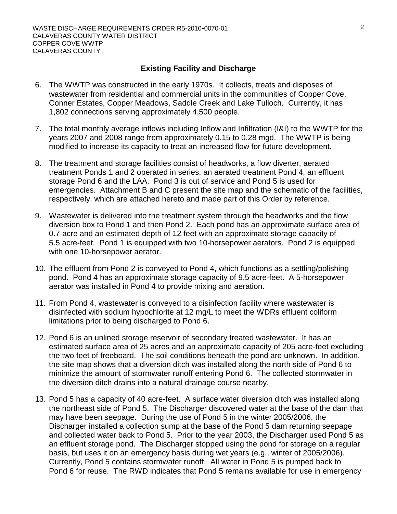#### **Existing Facility and Discharge**

- 6. The WWTP was constructed in the early 1970s. It collects, treats and disposes of wastewater from residential and commercial units in the communities of Copper Cove, Conner Estates, Copper Meadows, Saddle Creek and Lake Tulloch. Currently, it has 1,802 connections serving approximately 4,500 people.
- 7. The total monthly average inflows including Inflow and Infiltration (I&I) to the WWTP for the years 2007 and 2008 range from approximately 0.15 to 0.28 mgd. The WWTP is being modified to increase its capacity to treat an increased flow for future development.
- 8. The treatment and storage facilities consist of headworks, a flow diverter, aerated treatment Ponds 1 and 2 operated in series, an aerated treatment Pond 4, an effluent storage Pond 6 and the LAA. Pond 3 is out of service and Pond 5 is used for emergencies. Attachment B and C present the site map and the schematic of the facilities, respectively, which are attached hereto and made part of this Order by reference.
- 9. Wastewater is delivered into the treatment system through the headworks and the flow diversion box to Pond 1 and then Pond 2. Each pond has an approximate surface area of 0.7-acre and an estimated depth of 12 feet with an approximate storage capacity of 5.5 acre-feet. Pond 1 is equipped with two 10-horsepower aerators. Pond 2 is equipped with one 10-horsepower aerator.
- 10. The effluent from Pond 2 is conveyed to Pond 4, which functions as a settling/polishing pond. Pond 4 has an approximate storage capacity of 9.5 acre-feet. A 5-horsepower aerator was installed in Pond 4 to provide mixing and aeration.
- 11. From Pond 4, wastewater is conveyed to a disinfection facility where wastewater is disinfected with sodium hypochlorite at 12 mg/L to meet the WDRs effluent coliform limitations prior to being discharged to Pond 6.
- 12. Pond 6 is an unlined storage reservoir of secondary treated wastewater. It has an estimated surface area of 25 acres and an approximate capacity of 205 acre-feet excluding the two feet of freeboard. The soil conditions beneath the pond are unknown. In addition, the site map shows that a diversion ditch was installed along the north side of Pond 6 to minimize the amount of stormwater runoff entering Pond 6. The collected stormwater in the diversion ditch drains into a natural drainage course nearby.
- 13. Pond 5 has a capacity of 40 acre-feet. A surface water diversion ditch was installed along the northeast side of Pond 5. The Discharger discovered water at the base of the dam that may have been seepage. During the use of Pond 5 in the winter 2005/2006, the Discharger installed a collection sump at the base of the Pond 5 dam returning seepage and collected water back to Pond 5. Prior to the year 2003, the Discharger used Pond 5 as an effluent storage pond. The Discharger stopped using the pond for storage on a regular basis, but uses it on an emergency basis during wet years (e.g., winter of 2005/2006). Currently, Pond 5 contains stormwater runoff. All water in Pond 5 is pumped back to Pond 6 for reuse. The RWD indicates that Pond 5 remains available for use in emergency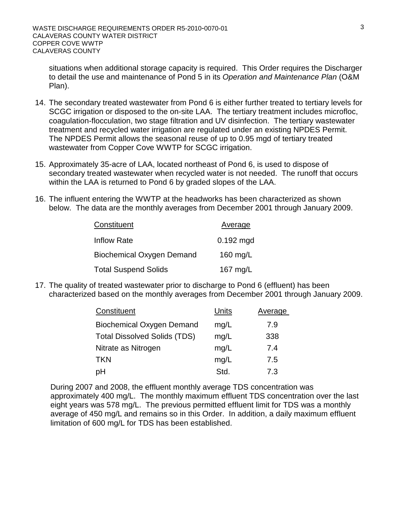situations when additional storage capacity is required. This Order requires the Discharger to detail the use and maintenance of Pond 5 in its *Operation and Maintenance Plan* (O&M Plan).

- 14. The secondary treated wastewater from Pond 6 is either further treated to tertiary levels for SCGC irrigation or disposed to the on-site LAA. The tertiary treatment includes microfloc, coagulation-flocculation, two stage filtration and UV disinfection. The tertiary wastewater treatment and recycled water irrigation are regulated under an existing NPDES Permit. The NPDES Permit allows the seasonal reuse of up to 0.95 mgd of tertiary treated wastewater from Copper Cove WWTP for SCGC irrigation.
- 15. Approximately 35-acre of LAA, located northeast of Pond 6, is used to dispose of secondary treated wastewater when recycled water is not needed. The runoff that occurs within the LAA is returned to Pond 6 by graded slopes of the LAA.
- 16. The influent entering the WWTP at the headworks has been characterized as shown below. The data are the monthly averages from December 2001 through January 2009.

| Constituent                      | Average     |
|----------------------------------|-------------|
| <b>Inflow Rate</b>               | $0.192$ mgd |
| <b>Biochemical Oxygen Demand</b> | 160 mg/L    |
| <b>Total Suspend Solids</b>      | 167 mg/L    |

17. The quality of treated wastewater prior to discharge to Pond 6 (effluent) has been characterized based on the monthly averages from December 2001 through January 2009.

| Constituent                         | Units | <b>Average</b> |
|-------------------------------------|-------|----------------|
| <b>Biochemical Oxygen Demand</b>    | mg/L  | 7.9            |
| <b>Total Dissolved Solids (TDS)</b> | mg/L  | 338            |
| Nitrate as Nitrogen                 | mg/L  | 7.4            |
| <b>TKN</b>                          | mg/L  | 7.5            |
| рH                                  | Std.  | 7.3            |

During 2007 and 2008, the effluent monthly average TDS concentration was approximately 400 mg/L. The monthly maximum effluent TDS concentration over the last eight years was 578 mg/L. The previous permitted effluent limit for TDS was a monthly average of 450 mg/L and remains so in this Order. In addition, a daily maximum effluent limitation of 600 mg/L for TDS has been established.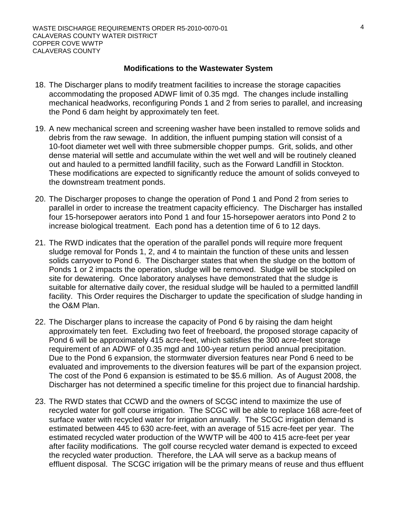#### **Modifications to the Wastewater System**

- 18. The Discharger plans to modify treatment facilities to increase the storage capacities accommodating the proposed ADWF limit of 0.35 mgd. The changes include installing mechanical headworks, reconfiguring Ponds 1 and 2 from series to parallel, and increasing the Pond 6 dam height by approximately ten feet.
- 19. A new mechanical screen and screening washer have been installed to remove solids and debris from the raw sewage. In addition, the influent pumping station will consist of a 10-foot diameter wet well with three submersible chopper pumps. Grit, solids, and other dense material will settle and accumulate within the wet well and will be routinely cleaned out and hauled to a permitted landfill facility, such as the Forward Landfill in Stockton. These modifications are expected to significantly reduce the amount of solids conveyed to the downstream treatment ponds.
- 20. The Discharger proposes to change the operation of Pond 1 and Pond 2 from series to parallel in order to increase the treatment capacity efficiency. The Discharger has installed four 15-horsepower aerators into Pond 1 and four 15-horsepower aerators into Pond 2 to increase biological treatment. Each pond has a detention time of 6 to 12 days.
- 21. The RWD indicates that the operation of the parallel ponds will require more frequent sludge removal for Ponds 1, 2, and 4 to maintain the function of these units and lessen solids carryover to Pond 6. The Discharger states that when the sludge on the bottom of Ponds 1 or 2 impacts the operation, sludge will be removed. Sludge will be stockpiled on site for dewatering. Once laboratory analyses have demonstrated that the sludge is suitable for alternative daily cover, the residual sludge will be hauled to a permitted landfill facility. This Order requires the Discharger to update the specification of sludge handing in the O&M Plan.
- 22. The Discharger plans to increase the capacity of Pond 6 by raising the dam height approximately ten feet. Excluding two feet of freeboard, the proposed storage capacity of Pond 6 will be approximately 415 acre-feet, which satisfies the 300 acre-feet storage requirement of an ADWF of 0.35 mgd and 100-year return period annual precipitation. Due to the Pond 6 expansion, the stormwater diversion features near Pond 6 need to be evaluated and improvements to the diversion features will be part of the expansion project. The cost of the Pond 6 expansion is estimated to be \$5.6 million. As of August 2008, the Discharger has not determined a specific timeline for this project due to financial hardship.
- 23. The RWD states that CCWD and the owners of SCGC intend to maximize the use of recycled water for golf course irrigation. The SCGC will be able to replace 168 acre-feet of surface water with recycled water for irrigation annually. The SCGC irrigation demand is estimated between 445 to 630 acre-feet, with an average of 515 acre-feet per year. The estimated recycled water production of the WWTP will be 400 to 415 acre-feet per year after facility modifications. The golf course recycled water demand is expected to exceed the recycled water production. Therefore, the LAA will serve as a backup means of effluent disposal. The SCGC irrigation will be the primary means of reuse and thus effluent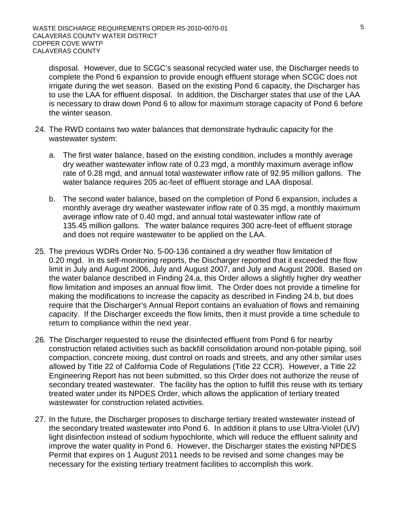disposal. However, due to SCGC's seasonal recycled water use, the Discharger needs to complete the Pond 6 expansion to provide enough effluent storage when SCGC does not irrigate during the wet season. Based on the existing Pond 6 capacity, the Discharger has to use the LAA for effluent disposal. In addition, the Discharger states that use of the LAA is necessary to draw down Pond 6 to allow for maximum storage capacity of Pond 6 before the winter season.

- 24. The RWD contains two water balances that demonstrate hydraulic capacity for the wastewater system:
	- a. The first water balance, based on the existing condition, includes a monthly average dry weather wastewater inflow rate of 0.23 mgd, a monthly maximum average inflow rate of 0.28 mgd, and annual total wastewater inflow rate of 92.95 million gallons. The water balance requires 205 ac-feet of effluent storage and LAA disposal.
	- b. The second water balance, based on the completion of Pond 6 expansion, includes a monthly average dry weather wastewater inflow rate of 0.35 mgd, a monthly maximum average inflow rate of 0.40 mgd, and annual total wastewater inflow rate of 135.45 million gallons. The water balance requires 300 acre-feet of effluent storage and does not require wastewater to be applied on the LAA.
- 25. The previous WDRs Order No. 5-00-136 contained a dry weather flow limitation of 0.20 mgd. In its self-monitoring reports, the Discharger reported that it exceeded the flow limit in July and August 2006, July and August 2007, and July and August 2008. Based on the water balance described in Finding 24.a, this Order allows a slightly higher dry weather flow limitation and imposes an annual flow limit. The Order does not provide a timeline for making the modifications to increase the capacity as described in Finding 24.b, but does require that the Discharger's Annual Report contains an evaluation of flows and remaining capacity. If the Discharger exceeds the flow limits, then it must provide a time schedule to return to compliance within the next year.
- 26. The Discharger requested to reuse the disinfected effluent from Pond 6 for nearby construction related activities such as backfill consolidation around non-potable piping, soil compaction, concrete mixing, dust control on roads and streets, and any other similar uses allowed by Title 22 of California Code of Regulations (Title 22 CCR). However, a Title 22 Engineering Report has not been submitted, so this Order does not authorize the reuse of secondary treated wastewater. The facility has the option to fulfill this reuse with its tertiary treated water under its NPDES Order, which allows the application of tertiary treated wastewater for construction related activities.
- 27. In the future, the Discharger proposes to discharge tertiary treated wastewater instead of the secondary treated wastewater into Pond 6. In addition it plans to use Ultra-Violet (UV) light disinfection instead of sodium hypochlorite, which will reduce the effluent salinity and improve the water quality in Pond 6. However, the Discharger states the existing NPDES Permit that expires on 1 August 2011 needs to be revised and some changes may be necessary for the existing tertiary treatment facilities to accomplish this work.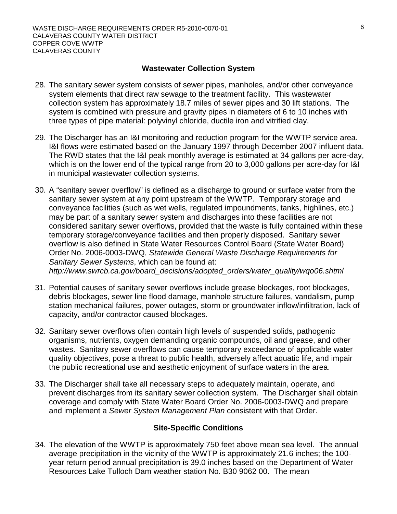#### **Wastewater Collection System**

- 28. The sanitary sewer system consists of sewer pipes, manholes, and/or other conveyance system elements that direct raw sewage to the treatment facility. This wastewater collection system has approximately 18.7 miles of sewer pipes and 30 lift stations. The system is combined with pressure and gravity pipes in diameters of 6 to 10 inches with three types of pipe material: polyvinyl chloride, ductile iron and vitrified clay.
- 29. The Discharger has an I&I monitoring and reduction program for the WWTP service area. I&I flows were estimated based on the January 1997 through December 2007 influent data. The RWD states that the I&I peak monthly average is estimated at 34 gallons per acre-day, which is on the lower end of the typical range from 20 to 3,000 gallons per acre-day for I&I in municipal wastewater collection systems.
- 30. A "sanitary sewer overflow" is defined as a discharge to ground or surface water from the sanitary sewer system at any point upstream of the WWTP. Temporary storage and conveyance facilities (such as wet wells, regulated impoundments, tanks, highlines, etc.) may be part of a sanitary sewer system and discharges into these facilities are not considered sanitary sewer overflows, provided that the waste is fully contained within these temporary storage/conveyance facilities and then properly disposed. Sanitary sewer overflow is also defined in State Water Resources Control Board (State Water Board) Order No. 2006-0003-DWQ, *Statewide General Waste Discharge Requirements for Sanitary Sewer Systems*, which can be found at: *http://www.swrcb.ca.gov/board\_decisions/adopted\_orders/water\_quality/wqo06.shtml*
- 31. Potential causes of sanitary sewer overflows include grease blockages, root blockages, debris blockages, sewer line flood damage, manhole structure failures, vandalism, pump station mechanical failures, power outages, storm or groundwater inflow/infiltration, lack of capacity, and/or contractor caused blockages.
- 32. Sanitary sewer overflows often contain high levels of suspended solids, pathogenic organisms, nutrients, oxygen demanding organic compounds, oil and grease, and other wastes. Sanitary sewer overflows can cause temporary exceedance of applicable water quality objectives, pose a threat to public health, adversely affect aquatic life, and impair the public recreational use and aesthetic enjoyment of surface waters in the area.
- 33. The Discharger shall take all necessary steps to adequately maintain, operate, and prevent discharges from its sanitary sewer collection system. The Discharger shall obtain coverage and comply with State Water Board Order No. 2006-0003-DWQ and prepare and implement a *Sewer System Management Plan* consistent with that Order.

# **Site-Specific Conditions**

34. The elevation of the WWTP is approximately 750 feet above mean sea level. The annual average precipitation in the vicinity of the WWTP is approximately 21.6 inches; the 100 year return period annual precipitation is 39.0 inches based on the Department of Water Resources Lake Tulloch Dam weather station No. B30 9062 00. The mean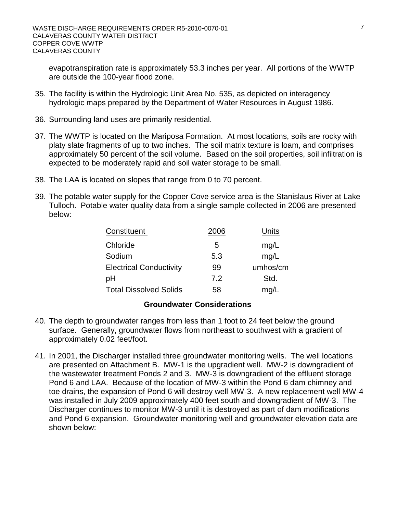evapotranspiration rate is approximately 53.3 inches per year. All portions of the WWTP are outside the 100-year flood zone.

- 35. The facility is within the Hydrologic Unit Area No. 535, as depicted on interagency hydrologic maps prepared by the Department of Water Resources in August 1986.
- 36. Surrounding land uses are primarily residential.
- 37. The WWTP is located on the Mariposa Formation. At most locations, soils are rocky with platy slate fragments of up to two inches. The soil matrix texture is loam, and comprises approximately 50 percent of the soil volume. Based on the soil properties, soil infiltration is expected to be moderately rapid and soil water storage to be small.
- 38. The LAA is located on slopes that range from 0 to 70 percent.
- 39. The potable water supply for the Copper Cove service area is the Stanislaus River at Lake Tulloch. Potable water quality data from a single sample collected in 2006 are presented below:

| Constituent                    | 2006 | Units    |
|--------------------------------|------|----------|
| Chloride                       | 5    | mg/L     |
| Sodium                         | 5.3  | mg/L     |
| <b>Electrical Conductivity</b> | 99   | umhos/cm |
| рH                             | 7.2  | Std.     |
| <b>Total Dissolved Solids</b>  | 58   | mg/L     |

# **Groundwater Considerations**

- 40. The depth to groundwater ranges from less than 1 foot to 24 feet below the ground surface. Generally, groundwater flows from northeast to southwest with a gradient of approximately 0.02 feet/foot.
- 41. In 2001, the Discharger installed three groundwater monitoring wells. The well locations are presented on Attachment B. MW-1 is the upgradient well. MW-2 is downgradient of the wastewater treatment Ponds 2 and 3. MW-3 is downgradient of the effluent storage Pond 6 and LAA. Because of the location of MW-3 within the Pond 6 dam chimney and toe drains, the expansion of Pond 6 will destroy well MW-3. A new replacement well MW-4 was installed in July 2009 approximately 400 feet south and downgradient of MW-3. The Discharger continues to monitor MW-3 until it is destroyed as part of dam modifications and Pond 6 expansion. Groundwater monitoring well and groundwater elevation data are shown below: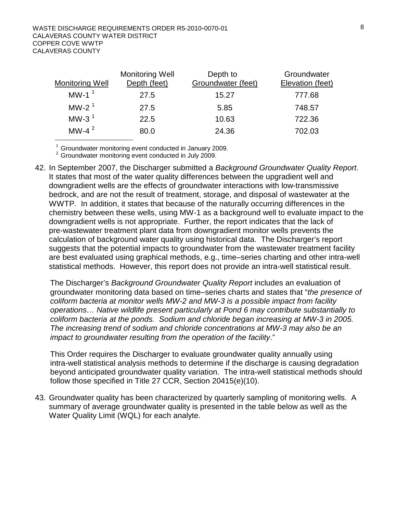#### WASTE DISCHARGE REQUIREMENTS ORDER R5-2010-0070-01 CALAVERAS COUNTY WATER DISTRICT COPPER COVE WWTP CALAVERAS COUNTY

| <b>Monitoring Well</b> | <b>Monitoring Well</b><br>Depth (feet) | Depth to<br>Groundwater (feet) | Groundwater<br>Elevation (feet) |
|------------------------|----------------------------------------|--------------------------------|---------------------------------|
| MW-1 $1$               | 27.5                                   | 15.27                          | 777.68                          |
| MW-2 $1$               | 27.5                                   | 5.85                           | 748.57                          |
| MW-3 $1$               | 22.5                                   | 10.63                          | 722.36                          |
| MW-4 $^2$              | 80.0                                   | 24.36                          | 702.03                          |

<sup>1</sup> Groundwater monitoring event conducted in January 2009.<br><sup>2</sup> Groundwater monitoring event conducted in July 2009.

42. In September 2007, the Discharger submitted a *Background Groundwater Quality Report*. It states that most of the water quality differences between the upgradient well and downgradient wells are the effects of groundwater interactions with low-transmissive bedrock, and are not the result of treatment, storage, and disposal of wastewater at the WWTP. In addition, it states that because of the naturally occurring differences in the chemistry between these wells, using MW-1 as a background well to evaluate impact to the downgradient wells is not appropriate. Further, the report indicates that the lack of pre-wastewater treatment plant data from downgradient monitor wells prevents the calculation of background water quality using historical data. The Discharger's report suggests that the potential impacts to groundwater from the wastewater treatment facility are best evaluated using graphical methods, e.g., time–series charting and other intra-well statistical methods. However, this report does not provide an intra-well statistical result.

The Discharger's *Background Groundwater Quality Report* includes an evaluation of groundwater monitoring data based on time–series charts and states that "*the presence of coliform bacteria at monitor wells MW-2 and MW-3 is a possible impact from facility operations… Native wildlife present particularly at Pond 6 may contribute substantially to coliform bacteria at the ponds. Sodium and chloride began increasing at MW-3 in 2005. The increasing trend of sodium and chloride concentrations at MW-3 may also be an impact to groundwater resulting from the operation of the facility*."

This Order requires the Discharger to evaluate groundwater quality annually using intra-well statistical analysis methods to determine if the discharge is causing degradation beyond anticipated groundwater quality variation. The intra-well statistical methods should follow those specified in Title 27 CCR, Section 20415(e)(10).

43. Groundwater quality has been characterized by quarterly sampling of monitoring wells. A summary of average groundwater quality is presented in the table below as well as the Water Quality Limit (WQL) for each analyte.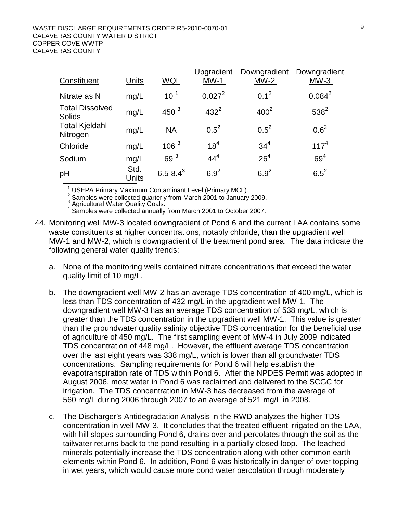| Constituent                             | <b>Units</b>  | WQL              | Upgradient<br>$MW-1$ | Downgradient<br>$MW-2$ | Downgradient<br>$MW-3$ |
|-----------------------------------------|---------------|------------------|----------------------|------------------------|------------------------|
| Nitrate as N                            | mg/L          | 10 <sup>1</sup>  | $0.027^2$            | $0.1^2$                | $0.084^2$              |
| <b>Total Dissolved</b><br><b>Solids</b> | mg/L          | 450 $3$          | $432^{2}$            | 400 <sup>2</sup>       | $538^{2}$              |
| <b>Total Kjeldahl</b><br>Nitrogen       | mg/L          | <b>NA</b>        | $0.5^2$              | $0.5^2$                | $0.6^2$                |
| Chloride                                | mg/L          | 106 <sup>3</sup> | $18^{4}$             | 34 <sup>4</sup>        | $117^{4}$              |
| Sodium                                  | mg/L          | 69 <sup>3</sup>  | $44^4$               | 26 <sup>4</sup>        | 69 <sup>4</sup>        |
| pH                                      | Std.<br>Units | $6.5 - 8.4^3$    | $6.9^{2}$            | $6.9^{2}$              | $6.5^{2}$              |

<sup>1</sup> USEPA Primary Maximum Contaminant Level (Primary MCL).

2 Samples were collected quarterly from March 2001 to January 2009.<br>
<sup>3</sup> Agricultural Water Quality Goals.<br>
<sup>4</sup> Samples were collected annually from March 2001 to October 2007.

- 44. Monitoring well MW-3 located downgradient of Pond 6 and the current LAA contains some waste constituents at higher concentrations, notably chloride, than the upgradient well MW-1 and MW-2, which is downgradient of the treatment pond area. The data indicate the following general water quality trends:
	- a. None of the monitoring wells contained nitrate concentrations that exceed the water quality limit of 10 mg/L.
	- b. The downgradient well MW-2 has an average TDS concentration of 400 mg/L, which is less than TDS concentration of 432 mg/L in the upgradient well MW-1. The downgradient well MW-3 has an average TDS concentration of 538 mg/L, which is greater than the TDS concentration in the upgradient well MW-1. This value is greater than the groundwater quality salinity objective TDS concentration for the beneficial use of agriculture of 450 mg/L. The first sampling event of MW-4 in July 2009 indicated TDS concentration of 448 mg/L. However, the effluent average TDS concentration over the last eight years was 338 mg/L, which is lower than all groundwater TDS concentrations. Sampling requirements for Pond 6 will help establish the evapotranspiration rate of TDS within Pond 6. After the NPDES Permit was adopted in August 2006, most water in Pond 6 was reclaimed and delivered to the SCGC for irrigation. The TDS concentration in MW-3 has decreased from the average of 560 mg/L during 2006 through 2007 to an average of 521 mg/L in 2008.
	- c. The Discharger's Antidegradation Analysis in the RWD analyzes the higher TDS concentration in well MW-3. It concludes that the treated effluent irrigated on the LAA, with hill slopes surrounding Pond 6, drains over and percolates through the soil as the tailwater returns back to the pond resulting in a partially closed loop. The leached minerals potentially increase the TDS concentration along with other common earth elements within Pond 6. In addition, Pond 6 was historically in danger of over topping in wet years, which would cause more pond water percolation through moderately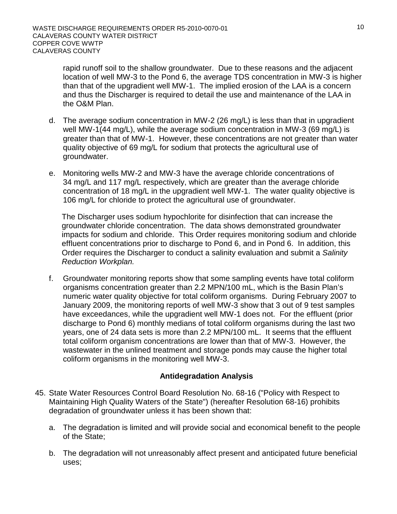rapid runoff soil to the shallow groundwater. Due to these reasons and the adjacent location of well MW-3 to the Pond 6, the average TDS concentration in MW-3 is higher than that of the upgradient well MW-1. The implied erosion of the LAA is a concern and thus the Discharger is required to detail the use and maintenance of the LAA in the O&M Plan.

- d. The average sodium concentration in MW-2 (26 mg/L) is less than that in upgradient well MW-1(44 mg/L), while the average sodium concentration in MW-3 (69 mg/L) is greater than that of MW-1. However, these concentrations are not greater than water quality objective of 69 mg/L for sodium that protects the agricultural use of groundwater.
- e. Monitoring wells MW-2 and MW-3 have the average chloride concentrations of 34 mg/L and 117 mg/L respectively, which are greater than the average chloride concentration of 18 mg/L in the upgradient well MW-1. The water quality objective is 106 mg/L for chloride to protect the agricultural use of groundwater.

The Discharger uses sodium hypochlorite for disinfection that can increase the groundwater chloride concentration. The data shows demonstrated groundwater impacts for sodium and chloride. This Order requires monitoring sodium and chloride effluent concentrations prior to discharge to Pond 6, and in Pond 6. In addition, this Order requires the Discharger to conduct a salinity evaluation and submit a *Salinity Reduction Workplan.*

f. Groundwater monitoring reports show that some sampling events have total coliform organisms concentration greater than 2.2 MPN/100 mL, which is the Basin Plan's numeric water quality objective for total coliform organisms. During February 2007 to January 2009, the monitoring reports of well MW-3 show that 3 out of 9 test samples have exceedances, while the upgradient well MW-1 does not. For the effluent (prior discharge to Pond 6) monthly medians of total coliform organisms during the last two years, one of 24 data sets is more than 2.2 MPN/100 mL. It seems that the effluent total coliform organism concentrations are lower than that of MW-3. However, the wastewater in the unlined treatment and storage ponds may cause the higher total coliform organisms in the monitoring well MW-3.

# **Antidegradation Analysis**

- 45. State Water Resources Control Board Resolution No. 68-16 ("Policy with Respect to Maintaining High Quality Waters of the State") (hereafter Resolution 68-16) prohibits degradation of groundwater unless it has been shown that:
	- a. The degradation is limited and will provide social and economical benefit to the people of the State;
	- b. The degradation will not unreasonably affect present and anticipated future beneficial uses;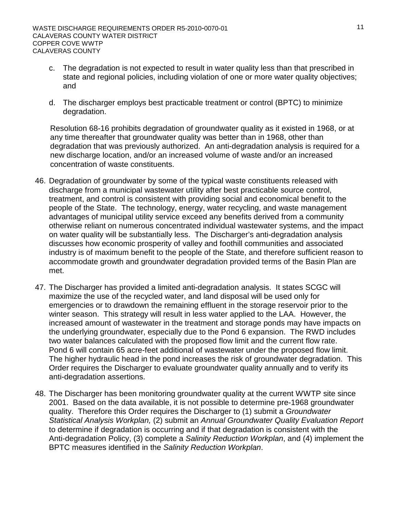- c. The degradation is not expected to result in water quality less than that prescribed in state and regional policies, including violation of one or more water quality objectives; and
- d. The discharger employs best practicable treatment or control (BPTC) to minimize degradation.

Resolution 68-16 prohibits degradation of groundwater quality as it existed in 1968, or at any time thereafter that groundwater quality was better than in 1968, other than degradation that was previously authorized. An anti-degradation analysis is required for a new discharge location, and/or an increased volume of waste and/or an increased concentration of waste constituents.

- 46. Degradation of groundwater by some of the typical waste constituents released with discharge from a municipal wastewater utility after best practicable source control, treatment, and control is consistent with providing social and economical benefit to the people of the State. The technology, energy, water recycling, and waste management advantages of municipal utility service exceed any benefits derived from a community otherwise reliant on numerous concentrated individual wastewater systems, and the impact on water quality will be substantially less. The Discharger's anti-degradation analysis discusses how economic prosperity of valley and foothill communities and associated industry is of maximum benefit to the people of the State, and therefore sufficient reason to accommodate growth and groundwater degradation provided terms of the Basin Plan are met.
- 47. The Discharger has provided a limited anti-degradation analysis. It states SCGC will maximize the use of the recycled water, and land disposal will be used only for emergencies or to drawdown the remaining effluent in the storage reservoir prior to the winter season. This strategy will result in less water applied to the LAA. However, the increased amount of wastewater in the treatment and storage ponds may have impacts on the underlying groundwater, especially due to the Pond 6 expansion. The RWD includes two water balances calculated with the proposed flow limit and the current flow rate. Pond 6 will contain 65 acre-feet additional of wastewater under the proposed flow limit. The higher hydraulic head in the pond increases the risk of groundwater degradation. This Order requires the Discharger to evaluate groundwater quality annually and to verify its anti-degradation assertions.
- 48. The Discharger has been monitoring groundwater quality at the current WWTP site since 2001. Based on the data available, it is not possible to determine pre-1968 groundwater quality. Therefore this Order requires the Discharger to (1) submit a *Groundwater Statistical Analysis Workplan,* (2) submit an *Annual Groundwater Quality Evaluation Report* to determine if degradation is occurring and if that degradation is consistent with the Anti-degradation Policy, (3) complete a *Salinity Reduction Workplan*, and (4) implement the BPTC measures identified in the *Salinity Reduction Workplan*.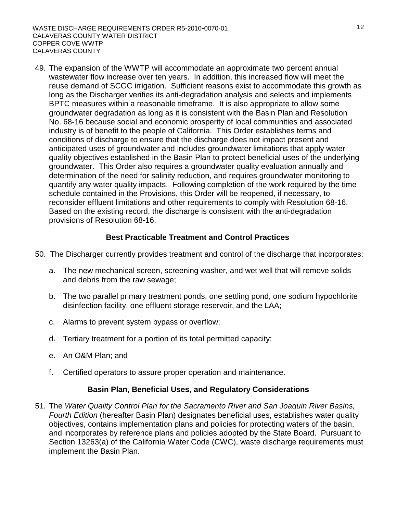49. The expansion of the WWTP will accommodate an approximate two percent annual wastewater flow increase over ten years. In addition, this increased flow will meet the reuse demand of SCGC irrigation. Sufficient reasons exist to accommodate this growth as long as the Discharger verifies its anti-degradation analysis and selects and implements BPTC measures within a reasonable timeframe. It is also appropriate to allow some groundwater degradation as long as it is consistent with the Basin Plan and Resolution No. 68-16 because social and economic prosperity of local communities and associated industry is of benefit to the people of California. This Order establishes terms and conditions of discharge to ensure that the discharge does not impact present and anticipated uses of groundwater and includes groundwater limitations that apply water quality objectives established in the Basin Plan to protect beneficial uses of the underlying groundwater. This Order also requires a groundwater quality evaluation annually and determination of the need for salinity reduction, and requires groundwater monitoring to quantify any water quality impacts. Following completion of the work required by the time schedule contained in the Provisions, this Order will be reopened, if necessary, to reconsider effluent limitations and other requirements to comply with Resolution 68-16. Based on the existing record, the discharge is consistent with the anti-degradation provisions of Resolution 68-16.

# **Best Practicable Treatment and Control Practices**

- 50. The Discharger currently provides treatment and control of the discharge that incorporates:
	- a. The new mechanical screen, screening washer, and wet well that will remove solids and debris from the raw sewage;
	- b. The two parallel primary treatment ponds, one settling pond, one sodium hypochlorite disinfection facility, one effluent storage reservoir, and the LAA;
	- c. Alarms to prevent system bypass or overflow;
	- d. Tertiary treatment for a portion of its total permitted capacity;
	- e. An O&M Plan; and
	- f. Certified operators to assure proper operation and maintenance.

# **Basin Plan, Beneficial Uses, and Regulatory Considerations**

51. The *Water Quality Control Plan for the Sacramento River and San Joaquin River Basins, Fourth Edition* (hereafter Basin Plan) designates beneficial uses, establishes water quality objectives, contains implementation plans and policies for protecting waters of the basin, and incorporates by reference plans and policies adopted by the State Board. Pursuant to Section 13263(a) of the California Water Code (CWC), waste discharge requirements must implement the Basin Plan.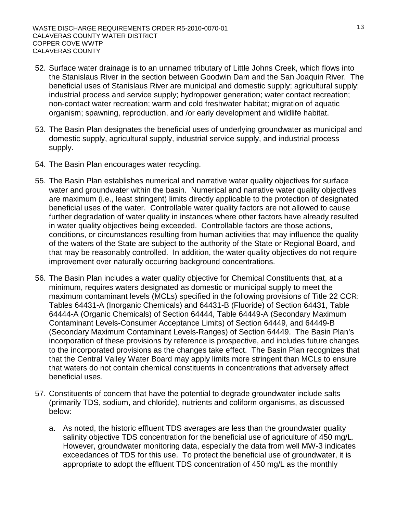- 52. Surface water drainage is to an unnamed tributary of Little Johns Creek, which flows into the Stanislaus River in the section between Goodwin Dam and the San Joaquin River. The beneficial uses of Stanislaus River are municipal and domestic supply; agricultural supply; industrial process and service supply; hydropower generation; water contact recreation; non-contact water recreation; warm and cold freshwater habitat; migration of aquatic organism; spawning, reproduction, and /or early development and wildlife habitat.
- 53. The Basin Plan designates the beneficial uses of underlying groundwater as municipal and domestic supply, agricultural supply, industrial service supply, and industrial process supply.
- 54. The Basin Plan encourages water recycling.
- 55. The Basin Plan establishes numerical and narrative water quality objectives for surface water and groundwater within the basin. Numerical and narrative water quality objectives are maximum (i.e., least stringent) limits directly applicable to the protection of designated beneficial uses of the water. Controllable water quality factors are not allowed to cause further degradation of water quality in instances where other factors have already resulted in water quality objectives being exceeded. Controllable factors are those actions, conditions, or circumstances resulting from human activities that may influence the quality of the waters of the State are subject to the authority of the State or Regional Board, and that may be reasonably controlled. In addition, the water quality objectives do not require improvement over naturally occurring background concentrations.
- 56. The Basin Plan includes a water quality objective for Chemical Constituents that, at a minimum, requires waters designated as domestic or municipal supply to meet the maximum contaminant levels (MCLs) specified in the following provisions of Title 22 CCR: Tables 64431-A (Inorganic Chemicals) and 64431-B (Fluoride) of Section 64431, Table 64444-A (Organic Chemicals) of Section 64444, Table 64449-A (Secondary Maximum Contaminant Levels-Consumer Acceptance Limits) of Section 64449, and 64449-B (Secondary Maximum Contaminant Levels-Ranges) of Section 64449. The Basin Plan's incorporation of these provisions by reference is prospective, and includes future changes to the incorporated provisions as the changes take effect. The Basin Plan recognizes that that the Central Valley Water Board may apply limits more stringent than MCLs to ensure that waters do not contain chemical constituents in concentrations that adversely affect beneficial uses.
- 57. Constituents of concern that have the potential to degrade groundwater include salts (primarily TDS, sodium, and chloride), nutrients and coliform organisms, as discussed below:
	- a. As noted, the historic effluent TDS averages are less than the groundwater quality salinity objective TDS concentration for the beneficial use of agriculture of 450 mg/L. However, groundwater monitoring data, especially the data from well MW-3 indicates exceedances of TDS for this use. To protect the beneficial use of groundwater, it is appropriate to adopt the effluent TDS concentration of 450 mg/L as the monthly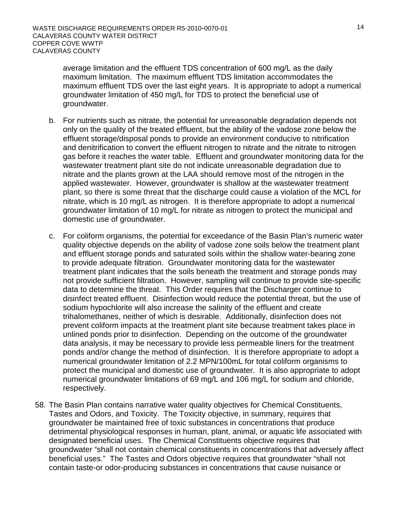average limitation and the effluent TDS concentration of 600 mg/L as the daily maximum limitation. The maximum effluent TDS limitation accommodates the maximum effluent TDS over the last eight years. It is appropriate to adopt a numerical groundwater limitation of 450 mg/L for TDS to protect the beneficial use of groundwater.

- b. For nutrients such as nitrate, the potential for unreasonable degradation depends not only on the quality of the treated effluent, but the ability of the vadose zone below the effluent storage/disposal ponds to provide an environment conducive to nitrification and denitrification to convert the effluent nitrogen to nitrate and the nitrate to nitrogen gas before it reaches the water table. Effluent and groundwater monitoring data for the wastewater treatment plant site do not indicate unreasonable degradation due to nitrate and the plants grown at the LAA should remove most of the nitrogen in the applied wastewater. However, groundwater is shallow at the wastewater treatment plant, so there is some threat that the discharge could cause a violation of the MCL for nitrate, which is 10 mg/L as nitrogen. It is therefore appropriate to adopt a numerical groundwater limitation of 10 mg/L for nitrate as nitrogen to protect the municipal and domestic use of groundwater.
- c. For coliform organisms, the potential for exceedance of the Basin Plan's numeric water quality objective depends on the ability of vadose zone soils below the treatment plant and effluent storage ponds and saturated soils within the shallow water-bearing zone to provide adequate filtration. Groundwater monitoring data for the wastewater treatment plant indicates that the soils beneath the treatment and storage ponds may not provide sufficient filtration. However, sampling will continue to provide site-specific data to determine the threat. This Order requires that the Discharger continue to disinfect treated effluent. Disinfection would reduce the potential threat, but the use of sodium hypochlorite will also increase the salinity of the effluent and create trihalomethanes, neither of which is desirable. Additionally, disinfection does not prevent coliform impacts at the treatment plant site because treatment takes place in unlined ponds prior to disinfection. Depending on the outcome of the groundwater data analysis, it may be necessary to provide less permeable liners for the treatment ponds and/or change the method of disinfection. It is therefore appropriate to adopt a numerical groundwater limitation of 2.2 MPN/100mL for total coliform organisms to protect the municipal and domestic use of groundwater. It is also appropriate to adopt numerical groundwater limitations of 69 mg/L and 106 mg/L for sodium and chloride, respectively.
- 58. The Basin Plan contains narrative water quality objectives for Chemical Constituents, Tastes and Odors, and Toxicity. The Toxicity objective, in summary, requires that groundwater be maintained free of toxic substances in concentrations that produce detrimental physiological responses in human, plant, animal, or aquatic life associated with designated beneficial uses. The Chemical Constituents objective requires that groundwater "shall not contain chemical constituents in concentrations that adversely affect beneficial uses." The Tastes and Odors objective requires that groundwater "shall not contain taste-or odor-producing substances in concentrations that cause nuisance or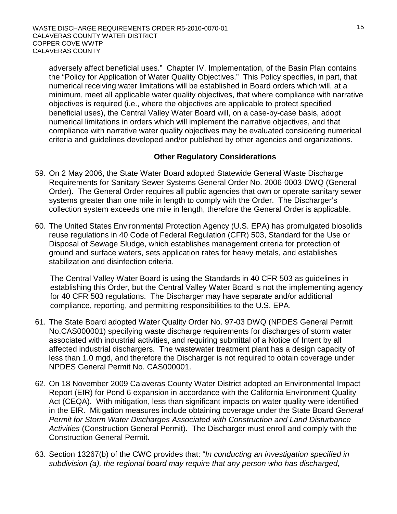adversely affect beneficial uses." Chapter IV, Implementation, of the Basin Plan contains the "Policy for Application of Water Quality Objectives." This Policy specifies, in part, that numerical receiving water limitations will be established in Board orders which will, at a minimum, meet all applicable water quality objectives, that where compliance with narrative objectives is required (i.e., where the objectives are applicable to protect specified beneficial uses), the Central Valley Water Board will, on a case-by-case basis, adopt numerical limitations in orders which will implement the narrative objectives, and that compliance with narrative water quality objectives may be evaluated considering numerical criteria and guidelines developed and/or published by other agencies and organizations.

# **Other Regulatory Considerations**

- 59. On 2 May 2006, the State Water Board adopted Statewide General Waste Discharge Requirements for Sanitary Sewer Systems General Order No. 2006-0003-DWQ (General Order). The General Order requires all public agencies that own or operate sanitary sewer systems greater than one mile in length to comply with the Order. The Discharger's collection system exceeds one mile in length, therefore the General Order is applicable.
- 60. The United States Environmental Protection Agency (U.S. EPA) has promulgated biosolids reuse regulations in 40 Code of Federal Regulation (CFR) 503, Standard for the Use or Disposal of Sewage Sludge, which establishes management criteria for protection of ground and surface waters, sets application rates for heavy metals, and establishes stabilization and disinfection criteria.

The Central Valley Water Board is using the Standards in 40 CFR 503 as guidelines in establishing this Order, but the Central Valley Water Board is not the implementing agency for 40 CFR 503 regulations. The Discharger may have separate and/or additional compliance, reporting, and permitting responsibilities to the U.S. EPA.

- 61. The State Board adopted Water Quality Order No. 97-03 DWQ (NPDES General Permit No.CAS000001) specifying waste discharge requirements for discharges of storm water associated with industrial activities, and requiring submittal of a Notice of Intent by all affected industrial dischargers. The wastewater treatment plant has a design capacity of less than 1.0 mgd, and therefore the Discharger is not required to obtain coverage under NPDES General Permit No. CAS000001.
- 62. On 18 November 2009 Calaveras County Water District adopted an Environmental Impact Report (EIR) for Pond 6 expansion in accordance with the California Environment Quality Act (CEQA). With mitigation, less than significant impacts on water quality were identified in the EIR. Mitigation measures include obtaining coverage under the State Board *General Permit for Storm Water Discharges Associated with Construction and Land Disturbance Activities* (Construction General Permit). The Discharger must enroll and comply with the Construction General Permit.
- 63. Section 13267(b) of the CWC provides that: "*In conducting an investigation specified in subdivision (a), the regional board may require that any person who has discharged,*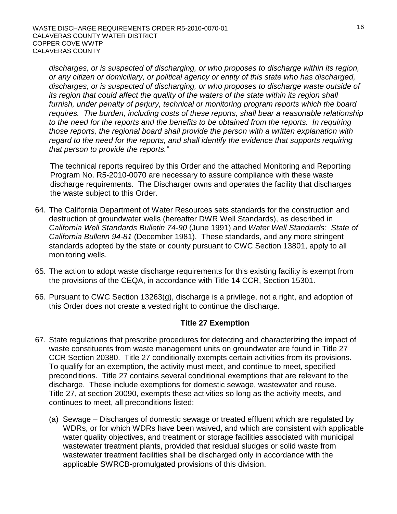*discharges, or is suspected of discharging, or who proposes to discharge within its region, or any citizen or domiciliary, or political agency or entity of this state who has discharged, discharges, or is suspected of discharging, or who proposes to discharge waste outside of its region that could affect the quality of the waters of the state within its region shall furnish, under penalty of perjury, technical or monitoring program reports which the board requires. The burden, including costs of these reports, shall bear a reasonable relationship to the need for the reports and the benefits to be obtained from the reports. In requiring those reports, the regional board shall provide the person with a written explanation with regard to the need for the reports, and shall identify the evidence that supports requiring that person to provide the reports."* 

The technical reports required by this Order and the attached Monitoring and Reporting Program No. R5-2010-0070 are necessary to assure compliance with these waste discharge requirements. The Discharger owns and operates the facility that discharges the waste subject to this Order.

- 64. The California Department of Water Resources sets standards for the construction and destruction of groundwater wells (hereafter DWR Well Standards), as described in *California Well Standards Bulletin 74-90* (June 1991) and *Water Well Standards: State of California Bulletin 94-81* (December 1981). These standards, and any more stringent standards adopted by the state or county pursuant to CWC Section 13801, apply to all monitoring wells.
- 65. The action to adopt waste discharge requirements for this existing facility is exempt from the provisions of the CEQA, in accordance with Title 14 CCR, Section 15301.
- 66. Pursuant to CWC Section 13263(g), discharge is a privilege, not a right, and adoption of this Order does not create a vested right to continue the discharge.

# **Title 27 Exemption**

- 67. State regulations that prescribe procedures for detecting and characterizing the impact of waste constituents from waste management units on groundwater are found in Title 27 CCR Section 20380. Title 27 conditionally exempts certain activities from its provisions. To qualify for an exemption, the activity must meet, and continue to meet, specified preconditions. Title 27 contains several conditional exemptions that are relevant to the discharge. These include exemptions for domestic sewage, wastewater and reuse. Title 27, at section 20090, exempts these activities so long as the activity meets, and continues to meet, all preconditions listed:
	- (a) Sewage Discharges of domestic sewage or treated effluent which are regulated by WDRs, or for which WDRs have been waived, and which are consistent with applicable water quality objectives, and treatment or storage facilities associated with municipal wastewater treatment plants, provided that residual sludges or solid waste from wastewater treatment facilities shall be discharged only in accordance with the applicable SWRCB-promulgated provisions of this division.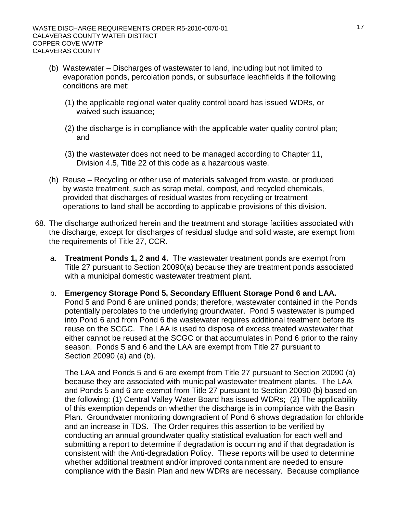- (b) Wastewater Discharges of wastewater to land, including but not limited to evaporation ponds, percolation ponds, or subsurface leachfields if the following conditions are met:
	- (1) the applicable regional water quality control board has issued WDRs, or waived such issuance;
	- (2) the discharge is in compliance with the applicable water quality control plan; and
	- (3) the wastewater does not need to be managed according to Chapter 11, Division 4.5, Title 22 of this code as a hazardous waste.
- (h) Reuse Recycling or other use of materials salvaged from waste, or produced by waste treatment, such as scrap metal, compost, and recycled chemicals, provided that discharges of residual wastes from recycling or treatment operations to land shall be according to applicable provisions of this division.
- 68. The discharge authorized herein and the treatment and storage facilities associated with the discharge, except for discharges of residual sludge and solid waste, are exempt from the requirements of Title 27, CCR.
	- a. **Treatment Ponds 1, 2 and 4.** The wastewater treatment ponds are exempt from Title 27 pursuant to Section 20090(a) because they are treatment ponds associated with a municipal domestic wastewater treatment plant.
	- b. **Emergency Storage Pond 5, Secondary Effluent Storage Pond 6 and LAA.**  Pond 5 and Pond 6 are unlined ponds; therefore, wastewater contained in the Ponds potentially percolates to the underlying groundwater. Pond 5 wastewater is pumped into Pond 6 and from Pond 6 the wastewater requires additional treatment before its reuse on the SCGC. The LAA is used to dispose of excess treated wastewater that either cannot be reused at the SCGC or that accumulates in Pond 6 prior to the rainy season. Ponds 5 and 6 and the LAA are exempt from Title 27 pursuant to Section 20090 (a) and (b).

The LAA and Ponds 5 and 6 are exempt from Title 27 pursuant to Section 20090 (a) because they are associated with municipal wastewater treatment plants. The LAA and Ponds 5 and 6 are exempt from Title 27 pursuant to Section 20090 (b) based on the following: (1) Central Valley Water Board has issued WDRs; (2) The applicability of this exemption depends on whether the discharge is in compliance with the Basin Plan. Groundwater monitoring downgradient of Pond 6 shows degradation for chloride and an increase in TDS. The Order requires this assertion to be verified by conducting an annual groundwater quality statistical evaluation for each well and submitting a report to determine if degradation is occurring and if that degradation is consistent with the Anti-degradation Policy. These reports will be used to determine whether additional treatment and/or improved containment are needed to ensure compliance with the Basin Plan and new WDRs are necessary. Because compliance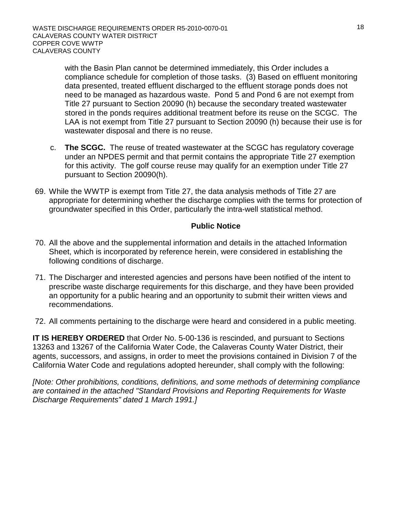with the Basin Plan cannot be determined immediately, this Order includes a compliance schedule for completion of those tasks. (3) Based on effluent monitoring data presented, treated effluent discharged to the effluent storage ponds does not need to be managed as hazardous waste. Pond 5 and Pond 6 are not exempt from Title 27 pursuant to Section 20090 (h) because the secondary treated wastewater stored in the ponds requires additional treatment before its reuse on the SCGC. The LAA is not exempt from Title 27 pursuant to Section 20090 (h) because their use is for wastewater disposal and there is no reuse.

- c. **The SCGC.** The reuse of treated wastewater at the SCGC has regulatory coverage under an NPDES permit and that permit contains the appropriate Title 27 exemption for this activity. The golf course reuse may qualify for an exemption under Title 27 pursuant to Section 20090(h).
- 69. While the WWTP is exempt from Title 27, the data analysis methods of Title 27 are appropriate for determining whether the discharge complies with the terms for protection of groundwater specified in this Order, particularly the intra-well statistical method.

# **Public Notice**

- 70. All the above and the supplemental information and details in the attached Information Sheet, which is incorporated by reference herein, were considered in establishing the following conditions of discharge.
- 71. The Discharger and interested agencies and persons have been notified of the intent to prescribe waste discharge requirements for this discharge, and they have been provided an opportunity for a public hearing and an opportunity to submit their written views and recommendations.
- 72. All comments pertaining to the discharge were heard and considered in a public meeting.

**IT IS HEREBY ORDERED** that Order No. 5-00-136 is rescinded, and pursuant to Sections 13263 and 13267 of the California Water Code, the Calaveras County Water District, their agents, successors, and assigns, in order to meet the provisions contained in Division 7 of the California Water Code and regulations adopted hereunder, shall comply with the following:

*[Note: Other prohibitions, conditions, definitions, and some methods of determining compliance are contained in the attached "Standard Provisions and Reporting Requirements for Waste Discharge Requirements" dated 1 March 1991.]*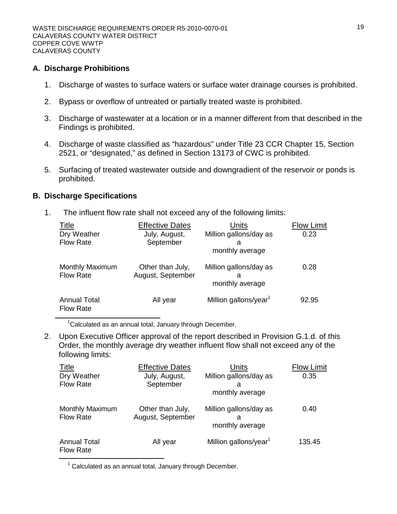#### **A. Discharge Prohibitions**

- 1. Discharge of wastes to surface waters or surface water drainage courses is prohibited.
- 2. Bypass or overflow of untreated or partially treated waste is prohibited.
- 3. Discharge of wastewater at a location or in a manner different from that described in the Findings is prohibited.
- 4. Discharge of waste classified as "hazardous" under Title 23 CCR Chapter 15, Section 2521, or "designated," as defined in Section 13173 of CWC is prohibited.
- 5. Surfacing of treated wastewater outside and downgradient of the reservoir or ponds is prohibited.

#### **B. Discharge Specifications**

1. The influent flow rate shall not exceed any of the following limits:

| <b>Title</b><br>Dry Weather<br><b>Flow Rate</b> | <b>Effective Dates</b><br>July, August,<br>September | Units<br>Million gallons/day as<br>a<br>monthly average | <b>Flow Limit</b><br>0.23 |
|-------------------------------------------------|------------------------------------------------------|---------------------------------------------------------|---------------------------|
| <b>Monthly Maximum</b><br><b>Flow Rate</b>      | Other than July,<br>August, September                | Million gallons/day as<br>a<br>monthly average          | 0.28                      |
| <b>Annual Total</b><br><b>Flow Rate</b>         | All year                                             | Million gallons/year <sup>1</sup>                       | 92.95                     |

<sup>1</sup>Calculated as an annual total, January through December.

2. Upon Executive Officer approval of the report described in Provision G.1.d. of this Order, the monthly average dry weather influent flow shall not exceed any of the following limits:

| <b>Title</b><br>Dry Weather<br><b>Flow Rate</b> | <b>Effective Dates</b><br>July, August,<br>September | Units<br>Million gallons/day as<br>а           | <b>Flow Limit</b><br>0.35 |
|-------------------------------------------------|------------------------------------------------------|------------------------------------------------|---------------------------|
|                                                 |                                                      | monthly average                                |                           |
| <b>Monthly Maximum</b><br><b>Flow Rate</b>      | Other than July,<br>August, September                | Million gallons/day as<br>а<br>monthly average | 0.40                      |
| <b>Annual Total</b><br><b>Flow Rate</b>         | All year                                             | Million gallons/year <sup>1</sup>              | 135.45                    |

 $1$  Calculated as an annual total, January through December.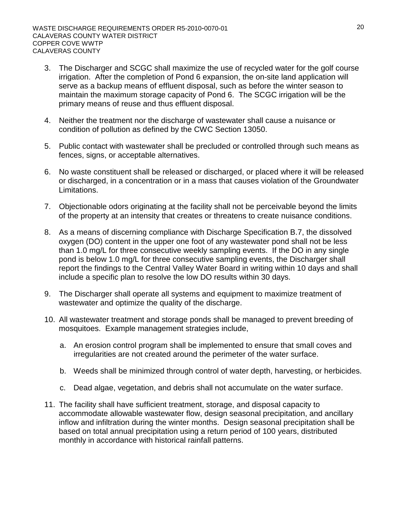- 3. The Discharger and SCGC shall maximize the use of recycled water for the golf course irrigation. After the completion of Pond 6 expansion, the on-site land application will serve as a backup means of effluent disposal, such as before the winter season to maintain the maximum storage capacity of Pond 6. The SCGC irrigation will be the primary means of reuse and thus effluent disposal.
- 4. Neither the treatment nor the discharge of wastewater shall cause a nuisance or condition of pollution as defined by the CWC Section 13050.
- 5. Public contact with wastewater shall be precluded or controlled through such means as fences, signs, or acceptable alternatives.
- 6. No waste constituent shall be released or discharged, or placed where it will be released or discharged, in a concentration or in a mass that causes violation of the Groundwater Limitations.
- 7. Objectionable odors originating at the facility shall not be perceivable beyond the limits of the property at an intensity that creates or threatens to create nuisance conditions.
- 8. As a means of discerning compliance with Discharge Specification B.7, the dissolved oxygen (DO) content in the upper one foot of any wastewater pond shall not be less than 1.0 mg/L for three consecutive weekly sampling events. If the DO in any single pond is below 1.0 mg/L for three consecutive sampling events, the Discharger shall report the findings to the Central Valley Water Board in writing within 10 days and shall include a specific plan to resolve the low DO results within 30 days.
- 9. The Discharger shall operate all systems and equipment to maximize treatment of wastewater and optimize the quality of the discharge.
- 10. All wastewater treatment and storage ponds shall be managed to prevent breeding of mosquitoes. Example management strategies include,
	- a. An erosion control program shall be implemented to ensure that small coves and irregularities are not created around the perimeter of the water surface.
	- b. Weeds shall be minimized through control of water depth, harvesting, or herbicides.
	- c. Dead algae, vegetation, and debris shall not accumulate on the water surface.
- 11. The facility shall have sufficient treatment, storage, and disposal capacity to accommodate allowable wastewater flow, design seasonal precipitation, and ancillary inflow and infiltration during the winter months. Design seasonal precipitation shall be based on total annual precipitation using a return period of 100 years, distributed monthly in accordance with historical rainfall patterns.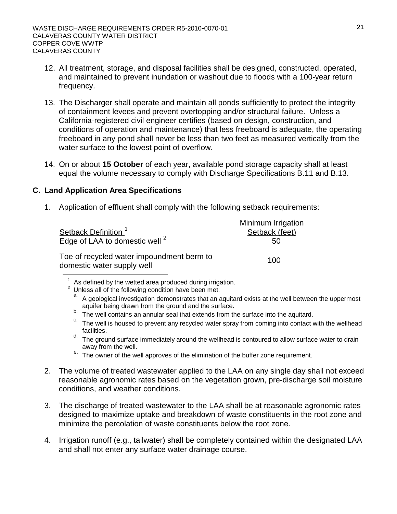- 12. All treatment, storage, and disposal facilities shall be designed, constructed, operated, and maintained to prevent inundation or washout due to floods with a 100-year return frequency.
- 13. The Discharger shall operate and maintain all ponds sufficiently to protect the integrity of containment levees and prevent overtopping and/or structural failure. Unless a California-registered civil engineer certifies (based on design, construction, and conditions of operation and maintenance) that less freeboard is adequate, the operating freeboard in any pond shall never be less than two feet as measured vertically from the water surface to the lowest point of overflow.
- 14. On or about **15 October** of each year, available pond storage capacity shall at least equal the volume necessary to comply with Discharge Specifications B.11 and B.13.

# **C. Land Application Area Specifications**

1. Application of effluent shall comply with the following setback requirements:

| Setback Definition <sup>1</sup><br>Edge of LAA to domestic well <sup>2</sup> | Minimum Irrigation<br>Setback (feet)<br>50 |
|------------------------------------------------------------------------------|--------------------------------------------|
| Toe of recycled water impoundment berm to<br>domestic water supply well      | 100                                        |

- 
- <sup>b.</sup> The well contains an annular seal that extends from the surface into the aquitard.<br><sup>C.</sup> The well is housed to prevent any recycled water spray from coming into contact with the wellhead facilities.
- d. The ground surface immediately around the wellhead is contoured to allow surface water to drain away from the well.
- $\frac{e}{2}$ . The owner of the well approves of the elimination of the buffer zone requirement.
- 2. The volume of treated wastewater applied to the LAA on any single day shall not exceed reasonable agronomic rates based on the vegetation grown, pre-discharge soil moisture conditions, and weather conditions.
- 3. The discharge of treated wastewater to the LAA shall be at reasonable agronomic rates designed to maximize uptake and breakdown of waste constituents in the root zone and minimize the percolation of waste constituents below the root zone.
- 4. Irrigation runoff (e.g., tailwater) shall be completely contained within the designated LAA and shall not enter any surface water drainage course.

<sup>&</sup>lt;sup>1</sup> As defined by the wetted area produced during irrigation.<br><sup>2</sup> Unless all of the following condition have been met:<br>a. A geological investigation demonstrates that an aquitard exists at the well between the uppermost<br>a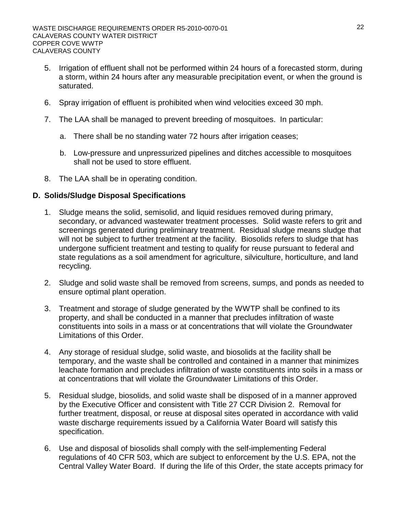- 5. Irrigation of effluent shall not be performed within 24 hours of a forecasted storm, during a storm, within 24 hours after any measurable precipitation event, or when the ground is saturated.
- 6. Spray irrigation of effluent is prohibited when wind velocities exceed 30 mph.
- 7. The LAA shall be managed to prevent breeding of mosquitoes. In particular:
	- a. There shall be no standing water 72 hours after irrigation ceases;
	- b. Low-pressure and unpressurized pipelines and ditches accessible to mosquitoes shall not be used to store effluent.
- 8. The LAA shall be in operating condition.

# **D. Solids/Sludge Disposal Specifications**

- 1. Sludge means the solid, semisolid, and liquid residues removed during primary, secondary, or advanced wastewater treatment processes. Solid waste refers to grit and screenings generated during preliminary treatment. Residual sludge means sludge that will not be subject to further treatment at the facility. Biosolids refers to sludge that has undergone sufficient treatment and testing to qualify for reuse pursuant to federal and state regulations as a soil amendment for agriculture, silviculture, horticulture, and land recycling.
- 2. Sludge and solid waste shall be removed from screens, sumps, and ponds as needed to ensure optimal plant operation.
- 3. Treatment and storage of sludge generated by the WWTP shall be confined to its property, and shall be conducted in a manner that precludes infiltration of waste constituents into soils in a mass or at concentrations that will violate the Groundwater Limitations of this Order.
- 4. Any storage of residual sludge, solid waste, and biosolids at the facility shall be temporary, and the waste shall be controlled and contained in a manner that minimizes leachate formation and precludes infiltration of waste constituents into soils in a mass or at concentrations that will violate the Groundwater Limitations of this Order.
- 5. Residual sludge, biosolids, and solid waste shall be disposed of in a manner approved by the Executive Officer and consistent with Title 27 CCR Division 2. Removal for further treatment, disposal, or reuse at disposal sites operated in accordance with valid waste discharge requirements issued by a California Water Board will satisfy this specification.
- 6. Use and disposal of biosolids shall comply with the self-implementing Federal regulations of 40 CFR 503, which are subject to enforcement by the U.S. EPA, not the Central Valley Water Board. If during the life of this Order, the state accepts primacy for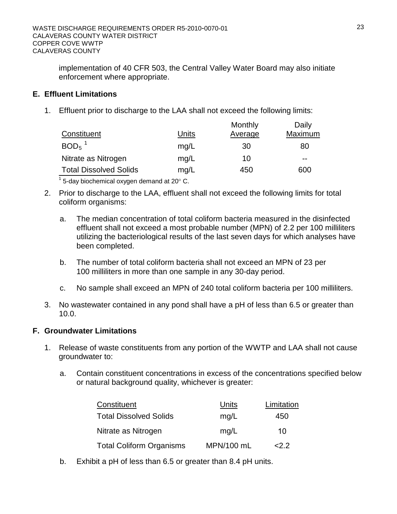implementation of 40 CFR 503, the Central Valley Water Board may also initiate enforcement where appropriate.

# **E. Effluent Limitations**

1. Effluent prior to discharge to the LAA shall not exceed the following limits:

| Constituent                   | Units | Monthly<br>Average | Daily<br>Maximum |
|-------------------------------|-------|--------------------|------------------|
| $BOD5$ <sup>1</sup>           | mq/L  | 30                 | 80               |
| Nitrate as Nitrogen           | mq/L  | 10                 | $- -$            |
| <b>Total Dissolved Solids</b> | mq/L  | 450                | 600              |
|                               |       |                    |                  |

 $\frac{1}{1}$  5-day biochemical oxygen demand at 20 $^{\circ}$  C.

- 2. Prior to discharge to the LAA, effluent shall not exceed the following limits for total coliform organisms:
	- a. The median concentration of total coliform bacteria measured in the disinfected effluent shall not exceed a most probable number (MPN) of 2.2 per 100 milliliters utilizing the bacteriological results of the last seven days for which analyses have been completed.
	- b. The number of total coliform bacteria shall not exceed an MPN of 23 per 100 milliliters in more than one sample in any 30-day period.
	- c. No sample shall exceed an MPN of 240 total coliform bacteria per 100 milliliters.
- 3. No wastewater contained in any pond shall have a pH of less than 6.5 or greater than 10.0.

# **F. Groundwater Limitations**

- 1. Release of waste constituents from any portion of the WWTP and LAA shall not cause groundwater to:
	- a. Contain constituent concentrations in excess of the concentrations specified below or natural background quality, whichever is greater:

| Constituent                     | Units      | Limitation |
|---------------------------------|------------|------------|
| <b>Total Dissolved Solids</b>   | mq/L       | 450        |
| Nitrate as Nitrogen             | mq/L       | 10         |
| <b>Total Coliform Organisms</b> | MPN/100 mL | 22.2       |

b. Exhibit a pH of less than 6.5 or greater than 8.4 pH units.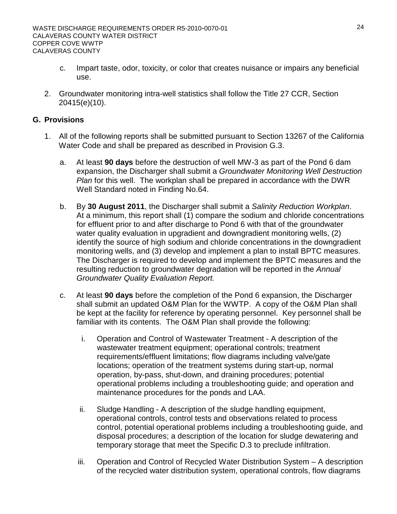- c. Impart taste, odor, toxicity, or color that creates nuisance or impairs any beneficial use.
- 2. Groundwater monitoring intra-well statistics shall follow the Title 27 CCR, Section 20415(e)(10).

# **G. Provisions**

- 1. All of the following reports shall be submitted pursuant to Section 13267 of the California Water Code and shall be prepared as described in Provision G.3.
	- a. At least **90 days** before the destruction of well MW-3 as part of the Pond 6 dam expansion, the Discharger shall submit a *Groundwater Monitoring Well Destruction Plan* for this well. The workplan shall be prepared in accordance with the DWR Well Standard noted in Finding No.64.
	- b. By **30 August 2011**, the Discharger shall submit a *Salinity Reduction Workplan*. At a minimum, this report shall (1) compare the sodium and chloride concentrations for effluent prior to and after discharge to Pond 6 with that of the groundwater water quality evaluation in upgradient and downgradient monitoring wells, (2) identify the source of high sodium and chloride concentrations in the downgradient monitoring wells, and (3) develop and implement a plan to install BPTC measures. The Discharger is required to develop and implement the BPTC measures and the resulting reduction to groundwater degradation will be reported in the *Annual Groundwater Quality Evaluation Report.*
	- c. At least **90 days** before the completion of the Pond 6 expansion, the Discharger shall submit an updated O&M Plan for the WWTP. A copy of the O&M Plan shall be kept at the facility for reference by operating personnel. Key personnel shall be familiar with its contents. The O&M Plan shall provide the following:
		- i. Operation and Control of Wastewater Treatment A description of the wastewater treatment equipment; operational controls; treatment requirements/effluent limitations; flow diagrams including valve/gate locations; operation of the treatment systems during start-up, normal operation, by-pass, shut-down, and draining procedures; potential operational problems including a troubleshooting guide; and operation and maintenance procedures for the ponds and LAA.
		- ii. Sludge Handling A description of the sludge handling equipment, operational controls, control tests and observations related to process control, potential operational problems including a troubleshooting guide, and disposal procedures; a description of the location for sludge dewatering and temporary storage that meet the Specific D.3 to preclude infiltration.
		- iii. Operation and Control of Recycled Water Distribution System A description of the recycled water distribution system, operational controls, flow diagrams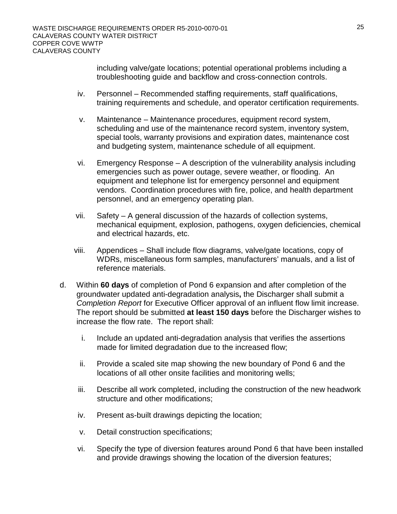including valve/gate locations; potential operational problems including a troubleshooting guide and backflow and cross-connection controls.

- iv. Personnel Recommended staffing requirements, staff qualifications, training requirements and schedule, and operator certification requirements.
- v. Maintenance Maintenance procedures, equipment record system, scheduling and use of the maintenance record system, inventory system, special tools, warranty provisions and expiration dates, maintenance cost and budgeting system, maintenance schedule of all equipment.
- vi. Emergency Response A description of the vulnerability analysis including emergencies such as power outage, severe weather, or flooding. An equipment and telephone list for emergency personnel and equipment vendors. Coordination procedures with fire, police, and health department personnel, and an emergency operating plan.
- vii. Safety A general discussion of the hazards of collection systems, mechanical equipment, explosion, pathogens, oxygen deficiencies, chemical and electrical hazards, etc.
- viii. Appendices Shall include flow diagrams, valve/gate locations, copy of WDRs, miscellaneous form samples, manufacturers' manuals, and a list of reference materials.
- d. Within **60 days** of completion of Pond 6 expansion and after completion of the groundwater updated anti-degradation analysis**,** the Discharger shall submit a *Completion Report* for Executive Officer approval of an influent flow limit increase. The report should be submitted **at least 150 days** before the Discharger wishes to increase the flow rate. The report shall:
	- i. Include an updated anti-degradation analysis that verifies the assertions made for limited degradation due to the increased flow;
	- ii. Provide a scaled site map showing the new boundary of Pond 6 and the locations of all other onsite facilities and monitoring wells;
	- iii. Describe all work completed, including the construction of the new headwork structure and other modifications;
	- iv. Present as-built drawings depicting the location;
	- v. Detail construction specifications;
	- vi. Specify the type of diversion features around Pond 6 that have been installed and provide drawings showing the location of the diversion features;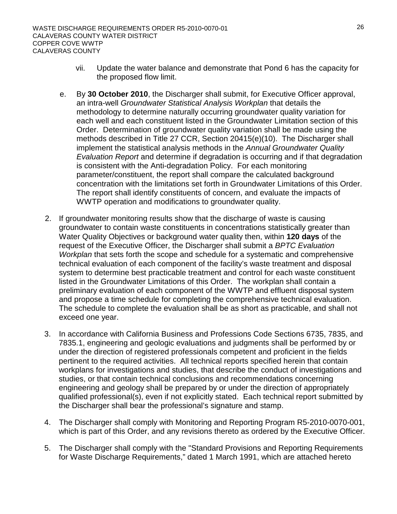- vii. Update the water balance and demonstrate that Pond 6 has the capacity for the proposed flow limit.
- e. By **30 October 2010**, the Discharger shall submit, for Executive Officer approval, an intra-well *Groundwater Statistical Analysis Workplan* that details the methodology to determine naturally occurring groundwater quality variation for each well and each constituent listed in the Groundwater Limitation section of this Order. Determination of groundwater quality variation shall be made using the methods described in Title 27 CCR, Section 20415(e)(10). The Discharger shall implement the statistical analysis methods in the *Annual Groundwater Quality Evaluation Report* and determine if degradation is occurring and if that degradation is consistent with the Anti-degradation Policy. For each monitoring parameter/constituent, the report shall compare the calculated background concentration with the limitations set forth in Groundwater Limitations of this Order. The report shall identify constituents of concern, and evaluate the impacts of WWTP operation and modifications to groundwater quality.
- 2. If groundwater monitoring results show that the discharge of waste is causing groundwater to contain waste constituents in concentrations statistically greater than Water Quality Objectives or background water quality then, within **120 days** of the request of the Executive Officer, the Discharger shall submit a *BPTC Evaluation Workplan* that sets forth the scope and schedule for a systematic and comprehensive technical evaluation of each component of the facility's waste treatment and disposal system to determine best practicable treatment and control for each waste constituent listed in the Groundwater Limitations of this Order. The workplan shall contain a preliminary evaluation of each component of the WWTP and effluent disposal system and propose a time schedule for completing the comprehensive technical evaluation. The schedule to complete the evaluation shall be as short as practicable, and shall not exceed one year.
- 3. In accordance with California Business and Professions Code Sections 6735, 7835, and 7835.1, engineering and geologic evaluations and judgments shall be performed by or under the direction of registered professionals competent and proficient in the fields pertinent to the required activities. All technical reports specified herein that contain workplans for investigations and studies, that describe the conduct of investigations and studies, or that contain technical conclusions and recommendations concerning engineering and geology shall be prepared by or under the direction of appropriately qualified professional(s), even if not explicitly stated. Each technical report submitted by the Discharger shall bear the professional's signature and stamp.
- 4. The Discharger shall comply with Monitoring and Reporting Program R5-2010-0070-001, which is part of this Order, and any revisions thereto as ordered by the Executive Officer.
- 5. The Discharger shall comply with the "Standard Provisions and Reporting Requirements for Waste Discharge Requirements," dated 1 March 1991, which are attached hereto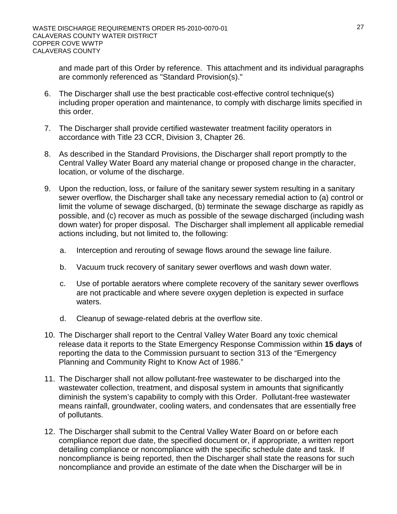and made part of this Order by reference. This attachment and its individual paragraphs are commonly referenced as "Standard Provision(s)."

- 6. The Discharger shall use the best practicable cost-effective control technique(s) including proper operation and maintenance, to comply with discharge limits specified in this order.
- 7. The Discharger shall provide certified wastewater treatment facility operators in accordance with Title 23 CCR, Division 3, Chapter 26.
- 8. As described in the Standard Provisions, the Discharger shall report promptly to the Central Valley Water Board any material change or proposed change in the character, location, or volume of the discharge.
- 9. Upon the reduction, loss, or failure of the sanitary sewer system resulting in a sanitary sewer overflow, the Discharger shall take any necessary remedial action to (a) control or limit the volume of sewage discharged, (b) terminate the sewage discharge as rapidly as possible, and (c) recover as much as possible of the sewage discharged (including wash down water) for proper disposal. The Discharger shall implement all applicable remedial actions including, but not limited to, the following:
	- a. Interception and rerouting of sewage flows around the sewage line failure.
	- b. Vacuum truck recovery of sanitary sewer overflows and wash down water.
	- c. Use of portable aerators where complete recovery of the sanitary sewer overflows are not practicable and where severe oxygen depletion is expected in surface waters.
	- d. Cleanup of sewage-related debris at the overflow site.
- 10. The Discharger shall report to the Central Valley Water Board any toxic chemical release data it reports to the State Emergency Response Commission within **15 days** of reporting the data to the Commission pursuant to section 313 of the "Emergency Planning and Community Right to Know Act of 1986."
- 11. The Discharger shall not allow pollutant-free wastewater to be discharged into the wastewater collection, treatment, and disposal system in amounts that significantly diminish the system's capability to comply with this Order. Pollutant-free wastewater means rainfall, groundwater, cooling waters, and condensates that are essentially free of pollutants.
- 12. The Discharger shall submit to the Central Valley Water Board on or before each compliance report due date, the specified document or, if appropriate, a written report detailing compliance or noncompliance with the specific schedule date and task. If noncompliance is being reported, then the Discharger shall state the reasons for such noncompliance and provide an estimate of the date when the Discharger will be in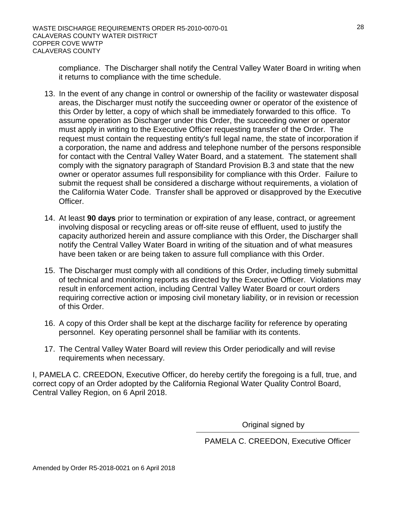compliance. The Discharger shall notify the Central Valley Water Board in writing when it returns to compliance with the time schedule.

- 13. In the event of any change in control or ownership of the facility or wastewater disposal areas, the Discharger must notify the succeeding owner or operator of the existence of this Order by letter, a copy of which shall be immediately forwarded to this office. To assume operation as Discharger under this Order, the succeeding owner or operator must apply in writing to the Executive Officer requesting transfer of the Order. The request must contain the requesting entity's full legal name, the state of incorporation if a corporation, the name and address and telephone number of the persons responsible for contact with the Central Valley Water Board, and a statement. The statement shall comply with the signatory paragraph of Standard Provision B.3 and state that the new owner or operator assumes full responsibility for compliance with this Order. Failure to submit the request shall be considered a discharge without requirements, a violation of the California Water Code. Transfer shall be approved or disapproved by the Executive Officer.
- 14. At least **90 days** prior to termination or expiration of any lease, contract, or agreement involving disposal or recycling areas or off-site reuse of effluent, used to justify the capacity authorized herein and assure compliance with this Order, the Discharger shall notify the Central Valley Water Board in writing of the situation and of what measures have been taken or are being taken to assure full compliance with this Order.
- 15. The Discharger must comply with all conditions of this Order, including timely submittal of technical and monitoring reports as directed by the Executive Officer. Violations may result in enforcement action, including Central Valley Water Board or court orders requiring corrective action or imposing civil monetary liability, or in revision or recession of this Order.
- 16. A copy of this Order shall be kept at the discharge facility for reference by operating personnel. Key operating personnel shall be familiar with its contents.
- 17. The Central Valley Water Board will review this Order periodically and will revise requirements when necessary.

I, PAMELA C. CREEDON, Executive Officer, do hereby certify the foregoing is a full, true, and correct copy of an Order adopted by the California Regional Water Quality Control Board, Central Valley Region, on 6 April 2018.

Original signed by

PAMELA C. CREEDON, Executive Officer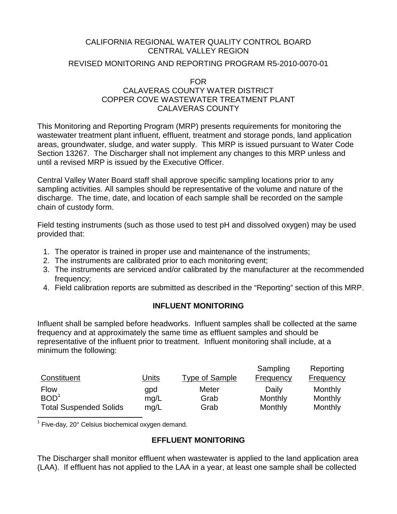# CALIFORNIA REGIONAL WATER QUALITY CONTROL BOARD CENTRAL VALLEY REGION

# REVISED MONITORING AND REPORTING PROGRAM R5-2010-0070-01

#### FOR

# CALAVERAS COUNTY WATER DISTRICT COPPER COVE WASTEWATER TREATMENT PLANT CALAVERAS COUNTY

This Monitoring and Reporting Program (MRP) presents requirements for monitoring the wastewater treatment plant influent, effluent, treatment and storage ponds, land application areas, groundwater, sludge, and water supply. This MRP is issued pursuant to Water Code Section 13267. The Discharger shall not implement any changes to this MRP unless and until a revised MRP is issued by the Executive Officer.

Central Valley Water Board staff shall approve specific sampling locations prior to any sampling activities. All samples should be representative of the volume and nature of the discharge. The time, date, and location of each sample shall be recorded on the sample chain of custody form.

Field testing instruments (such as those used to test pH and dissolved oxygen) may be used provided that:

- 1. The operator is trained in proper use and maintenance of the instruments;
- 2. The instruments are calibrated prior to each monitoring event;
- 3. The instruments are serviced and/or calibrated by the manufacturer at the recommended frequency;
- 4. Field calibration reports are submitted as described in the "Reporting" section of this MRP.

# **INFLUENT MONITORING**

Influent shall be sampled before headworks. Influent samples shall be collected at the same frequency and at approximately the same time as effluent samples and should be representative of the influent prior to treatment. Influent monitoring shall include, at a minimum the following:

| Constituent                   | <u>Units</u> | <b>Type of Sample</b> | Sampling<br>Frequency | Reporting<br><b>Frequency</b> |
|-------------------------------|--------------|-----------------------|-----------------------|-------------------------------|
| <b>Flow</b>                   | qpd          | Meter                 | Daily                 | Monthly                       |
| BOD <sup>1</sup>              | mq/L         | Grab                  | Monthly               | Monthly                       |
| <b>Total Suspended Solids</b> | mq/L         | Grab                  | Monthly               | Monthly                       |

 $1$  Five-day, 20 $^{\circ}$  Celsius biochemical oxygen demand.

# **EFFLUENT MONITORING**

The Discharger shall monitor effluent when wastewater is applied to the land application area (LAA). If effluent has not applied to the LAA in a year, at least one sample shall be collected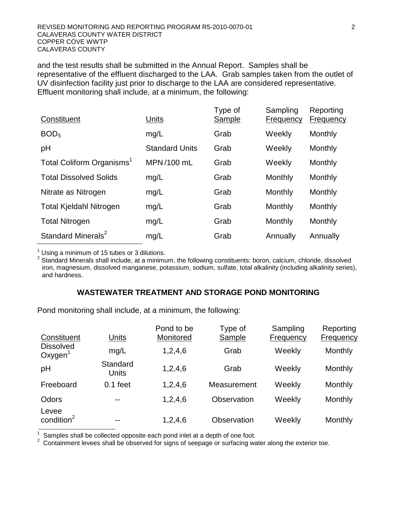and the test results shall be submitted in the Annual Report. Samples shall be representative of the effluent discharged to the LAA. Grab samples taken from the outlet of UV disinfection facility just prior to discharge to the LAA are considered representative. Effluent monitoring shall include, at a minimum, the following:

| Constituent                           | Units                 | Type of<br><b>Sample</b> | Sampling<br>Frequency | Reporting<br>Frequency |
|---------------------------------------|-----------------------|--------------------------|-----------------------|------------------------|
| BOD <sub>5</sub>                      | mg/L                  | Grab                     | Weekly                | Monthly                |
| pH                                    | <b>Standard Units</b> | Grab                     | Weekly                | Monthly                |
| Total Coliform Organisms <sup>1</sup> | MPN/100 mL            | Grab                     | Weekly                | Monthly                |
| <b>Total Dissolved Solids</b>         | mg/L                  | Grab                     | Monthly               | Monthly                |
| Nitrate as Nitrogen                   | mg/L                  | Grab                     | Monthly               | Monthly                |
| <b>Total Kjeldahl Nitrogen</b>        | mg/L                  | Grab                     | Monthly               | Monthly                |
| <b>Total Nitrogen</b>                 | mg/L                  | Grab                     | Monthly               | Monthly                |
| Standard Minerals <sup>2</sup>        | mg/L                  | Grab                     | Annually              | Annually               |

 $<sup>1</sup>$  Using a minimum of 15 tubes or 3 dilutions.</sup>

 $2$  Standard Minerals shall include, at a minimum, the following constituents: boron, calcium, chloride, dissolved iron, magnesium, dissolved manganese, potassium, sodium, sulfate, total alkalinity (including alkalinity series), and hardness.

#### **WASTEWATER TREATMENT AND STORAGE POND MONITORING**

Pond monitoring shall include, at a minimum, the following:

| Constituent                             | Units                    | Pond to be<br>Monitored | Type of<br><b>Sample</b> | Sampling<br>Frequency | Reporting<br><b>Frequency</b> |
|-----------------------------------------|--------------------------|-------------------------|--------------------------|-----------------------|-------------------------------|
| <b>Dissolved</b><br>Oxygen <sup>'</sup> | mg/L                     | 1,2,4,6                 | Grab                     | Weekly                | Monthly                       |
| pH                                      | Standard<br><b>Units</b> | 1,2,4,6                 | Grab                     | Weekly                | Monthly                       |
| Freeboard                               | $0.1$ feet               | 1,2,4,6                 | Measurement              | Weekly                | Monthly                       |
| Odors                                   | --                       | 1,2,4,6                 | Observation              | Weekly                | Monthly                       |
| Levee<br>condition <sup>2</sup>         | --                       | 1,2,4,6                 | Observation              | Weekly                | Monthly                       |

1 <sup>1</sup> Samples shall be collected opposite each pond inlet at a depth of one foot.<br><sup>2</sup> Containment levees shall be observed for signs of seepage or surfacing way

Containment levees shall be observed for signs of seepage or surfacing water along the exterior toe.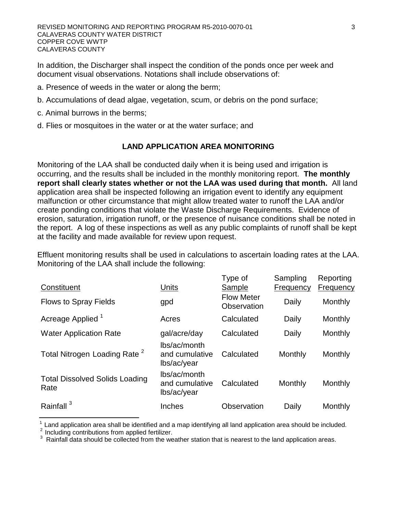In addition, the Discharger shall inspect the condition of the ponds once per week and document visual observations. Notations shall include observations of:

- a. Presence of weeds in the water or along the berm;
- b. Accumulations of dead algae, vegetation, scum, or debris on the pond surface;
- c. Animal burrows in the berms;
- d. Flies or mosquitoes in the water or at the water surface; and

# **LAND APPLICATION AREA MONITORING**

Monitoring of the LAA shall be conducted daily when it is being used and irrigation is occurring, and the results shall be included in the monthly monitoring report. **The monthly report shall clearly states whether or not the LAA was used during that month.** All land application area shall be inspected following an irrigation event to identify any equipment malfunction or other circumstance that might allow treated water to runoff the LAA and/or create ponding conditions that violate the Waste Discharge Requirements. Evidence of erosion, saturation, irrigation runoff, or the presence of nuisance conditions shall be noted in the report. A log of these inspections as well as any public complaints of runoff shall be kept at the facility and made available for review upon request.

Effluent monitoring results shall be used in calculations to ascertain loading rates at the LAA. Monitoring of the LAA shall include the following:

| Constituent                                   | Units                                         | Type of<br>Sample                | Sampling<br>Frequency | Reporting<br>Frequency |
|-----------------------------------------------|-----------------------------------------------|----------------------------------|-----------------------|------------------------|
| <b>Flows to Spray Fields</b>                  | gpd                                           | <b>Flow Meter</b><br>Observation | Daily                 | Monthly                |
| Acreage Applied <sup>1</sup>                  | Acres                                         | Calculated                       | Daily                 | Monthly                |
| <b>Water Application Rate</b>                 | gal/acre/day                                  | Calculated                       | Daily                 | Monthly                |
| Total Nitrogen Loading Rate <sup>2</sup>      | lbs/ac/month<br>and cumulative<br>lbs/ac/year | Calculated                       | Monthly               | Monthly                |
| <b>Total Dissolved Solids Loading</b><br>Rate | lbs/ac/month<br>and cumulative<br>lbs/ac/year | Calculated                       | Monthly               | Monthly                |
| Rainfall <sup>3</sup>                         | Inches                                        | Observation                      | Daily                 | Monthly                |

 $\frac{1}{2}$  Land application area shall be identified and a map identifying all land application area should be included.<br>  $\frac{2}{3}$  Including contributions from applied fertilizer.<br>  $\frac{3}{3}$  Rainfall data should be collec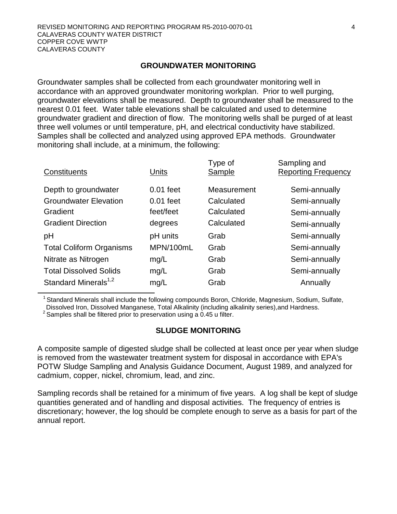#### **GROUNDWATER MONITORING**

Groundwater samples shall be collected from each groundwater monitoring well in accordance with an approved groundwater monitoring workplan. Prior to well purging, groundwater elevations shall be measured. Depth to groundwater shall be measured to the nearest 0.01 feet. Water table elevations shall be calculated and used to determine groundwater gradient and direction of flow. The monitoring wells shall be purged of at least three well volumes or until temperature, pH, and electrical conductivity have stabilized. Samples shall be collected and analyzed using approved EPA methods. Groundwater monitoring shall include, at a minimum, the following:

| Units       | Type of<br>Sample | Sampling and<br><b>Reporting Frequency</b> |
|-------------|-------------------|--------------------------------------------|
| $0.01$ feet | Measurement       | Semi-annually                              |
| $0.01$ feet | Calculated        | Semi-annually                              |
| feet/feet   | Calculated        | Semi-annually                              |
| degrees     | Calculated        | Semi-annually                              |
| pH units    | Grab              | Semi-annually                              |
| MPN/100mL   | Grab              | Semi-annually                              |
| mg/L        | Grab              | Semi-annually                              |
| mg/L        | Grab              | Semi-annually                              |
| mg/L        | Grab              | Annually                                   |
|             |                   |                                            |

<sup>1</sup> Standard Minerals shall include the following compounds Boron, Chloride, Magnesium, Sodium, Sulfate, Dissolved Iron, Dissolved Manganese, Total Alkalinity (including alkalinity series),and Hardness.

<sup>2</sup> Samples shall be filtered prior to preservation using a 0.45 u filter.

#### **SLUDGE MONITORING**

A composite sample of digested sludge shall be collected at least once per year when sludge is removed from the wastewater treatment system for disposal in accordance with EPA's POTW Sludge Sampling and Analysis Guidance Document, August 1989, and analyzed for cadmium, copper, nickel, chromium, lead, and zinc.

Sampling records shall be retained for a minimum of five years. A log shall be kept of sludge quantities generated and of handling and disposal activities. The frequency of entries is discretionary; however, the log should be complete enough to serve as a basis for part of the annual report.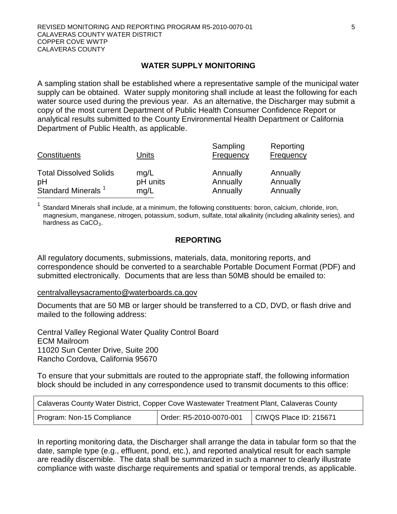#### **WATER SUPPLY MONITORING**

A sampling station shall be established where a representative sample of the municipal water supply can be obtained. Water supply monitoring shall include at least the following for each water source used during the previous year. As an alternative, the Discharger may submit a copy of the most current Department of Public Health Consumer Confidence Report or analytical results submitted to the County Environmental Health Department or California Department of Public Health, as applicable.

| Constituents                        | Units            | Sampling<br>Frequency | Reporting<br>Frequency |
|-------------------------------------|------------------|-----------------------|------------------------|
| <b>Total Dissolved Solids</b><br>pH | mq/L<br>pH units | Annually<br>Annually  | Annually<br>Annually   |
| Standard Minerals <sup>1</sup>      | mg/L             | Annually              | Annually               |

Standard Minerals shall include, at a minimum, the following constituents: boron, calcium, chloride, iron, magnesium, manganese, nitrogen, potassium, sodium, sulfate, total alkalinity (including alkalinity series), and hardness as  $CaCO<sub>3</sub>$ .

# **REPORTING**

All regulatory documents, submissions, materials, data, monitoring reports, and correspondence should be converted to a searchable Portable Document Format (PDF) and submitted electronically. Documents that are less than 50MB should be emailed to:

#### [centralvalleysacramento@waterboards.ca.gov](mailto:centralvalleysacramento@waterboards.ca.gov)

Documents that are 50 MB or larger should be transferred to a CD, DVD, or flash drive and mailed to the following address:

Central Valley Regional Water Quality Control Board ECM Mailroom 11020 Sun Center Drive, Suite 200 Rancho Cordova, California 95670

To ensure that your submittals are routed to the appropriate staff, the following information block should be included in any correspondence used to transmit documents to this office:

| Calaveras County Water District, Copper Cove Wastewater Treatment Plant, Calaveras County |                         |                        |  |
|-------------------------------------------------------------------------------------------|-------------------------|------------------------|--|
| Program: Non-15 Compliance                                                                | Order: R5-2010-0070-001 | CIWQS Place ID: 215671 |  |

In reporting monitoring data, the Discharger shall arrange the data in tabular form so that the date, sample type (e.g., effluent, pond, etc.), and reported analytical result for each sample are readily discernible. The data shall be summarized in such a manner to clearly illustrate compliance with waste discharge requirements and spatial or temporal trends, as applicable.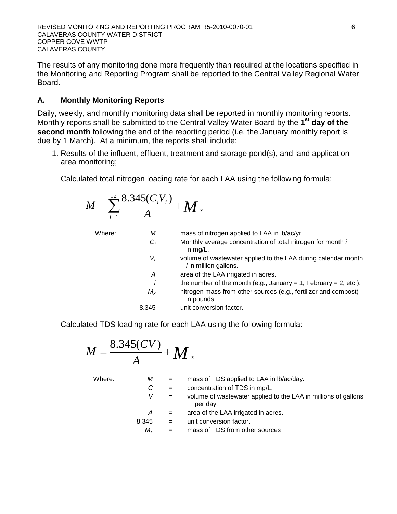The results of any monitoring done more frequently than required at the locations specified in the Monitoring and Reporting Program shall be reported to the Central Valley Regional Water Board.

# **A. Monthly Monitoring Reports**

Daily, weekly, and monthly monitoring data shall be reported in monthly monitoring reports. Monthly reports shall be submitted to the Central Valley Water Board by the **1st day of the**  second month following the end of the reporting period (i.e. the January monthly report is due by 1 March). At a minimum, the reports shall include:

1. Results of the influent, effluent, treatment and storage pond(s), and land application area monitoring;

Calculated total nitrogen loading rate for each LAA using the following formula:

$$
M = \sum_{i=1}^{12} \frac{8.345 (C_i V_i)}{A} + M_x
$$

| Where: | М       | mass of nitrogen applied to LAA in lb/ac/yr.                                                  |
|--------|---------|-----------------------------------------------------------------------------------------------|
|        | $C_i$   | Monthly average concentration of total nitrogen for month i<br>in $mq/L$ .                    |
|        | $V_i$   | volume of wastewater applied to the LAA during calendar month<br><i>i</i> in million gallons. |
|        | А       | area of the LAA irrigated in acres.                                                           |
|        | ı       | the number of the month (e.g., January = 1, February = 2, etc.).                              |
|        | $M_{x}$ | nitrogen mass from other sources (e.g., fertilizer and compost)<br>in pounds.                 |
|        | 8.345   | unit conversion factor.                                                                       |
|        |         |                                                                                               |

Calculated TDS loading rate for each LAA using the following formula:

$$
M=\frac{8.345(CV)}{A}+M_{x}
$$

| М           | $\mathbf{r} = \mathbf{r}$ | mass of TDS applied to LAA in $\frac{b}{ac}$ /day.                         |
|-------------|---------------------------|----------------------------------------------------------------------------|
| C           | $\mathbf{r} = \mathbf{r}$ | concentration of TDS in mg/L.                                              |
|             | $\alpha = 1$              | volume of wastewater applied to the LAA in millions of gallons<br>per day. |
| A           |                           | area of the LAA irrigated in acres.                                        |
| 8.345       | $\mathbf{r} = \mathbf{r}$ | unit conversion factor.                                                    |
| $M_{\star}$ | $=$                       | mass of TDS from other sources                                             |
|             |                           | $\alpha_{\rm c} = 0.001$                                                   |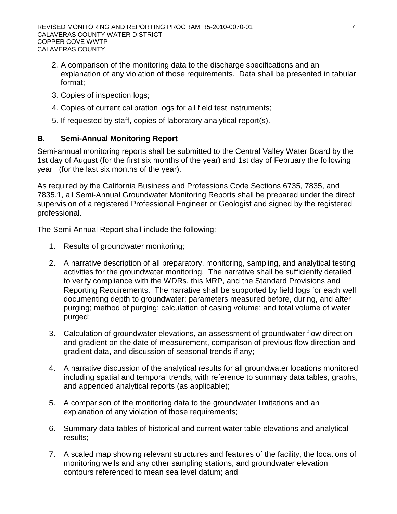- 2. A comparison of the monitoring data to the discharge specifications and an explanation of any violation of those requirements. Data shall be presented in tabular format;
- 3. Copies of inspection logs;
- 4. Copies of current calibration logs for all field test instruments;
- 5. If requested by staff, copies of laboratory analytical report(s).

# **B. Semi-Annual Monitoring Report**

Semi-annual monitoring reports shall be submitted to the Central Valley Water Board by the 1st day of August (for the first six months of the year) and 1st day of February the following year (for the last six months of the year).

As required by the California Business and Professions Code Sections 6735, 7835, and 7835.1, all Semi-Annual Groundwater Monitoring Reports shall be prepared under the direct supervision of a registered Professional Engineer or Geologist and signed by the registered professional.

The Semi-Annual Report shall include the following:

- 1. Results of groundwater monitoring;
- 2. A narrative description of all preparatory, monitoring, sampling, and analytical testing activities for the groundwater monitoring. The narrative shall be sufficiently detailed to verify compliance with the WDRs, this MRP, and the Standard Provisions and Reporting Requirements. The narrative shall be supported by field logs for each well documenting depth to groundwater; parameters measured before, during, and after purging; method of purging; calculation of casing volume; and total volume of water purged;
- 3. Calculation of groundwater elevations, an assessment of groundwater flow direction and gradient on the date of measurement, comparison of previous flow direction and gradient data, and discussion of seasonal trends if any;
- 4. A narrative discussion of the analytical results for all groundwater locations monitored including spatial and temporal trends, with reference to summary data tables, graphs, and appended analytical reports (as applicable);
- 5. A comparison of the monitoring data to the groundwater limitations and an explanation of any violation of those requirements;
- 6. Summary data tables of historical and current water table elevations and analytical results;
- 7. A scaled map showing relevant structures and features of the facility, the locations of monitoring wells and any other sampling stations, and groundwater elevation contours referenced to mean sea level datum; and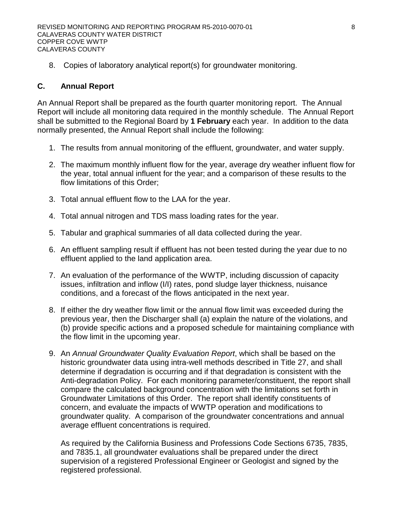8. Copies of laboratory analytical report(s) for groundwater monitoring.

# **C. Annual Report**

An Annual Report shall be prepared as the fourth quarter monitoring report. The Annual Report will include all monitoring data required in the monthly schedule. The Annual Report shall be submitted to the Regional Board by **1 February** each year. In addition to the data normally presented, the Annual Report shall include the following:

- 1. The results from annual monitoring of the effluent, groundwater, and water supply.
- 2. The maximum monthly influent flow for the year, average dry weather influent flow for the year, total annual influent for the year; and a comparison of these results to the flow limitations of this Order;
- 3. Total annual effluent flow to the LAA for the year.
- 4. Total annual nitrogen and TDS mass loading rates for the year.
- 5. Tabular and graphical summaries of all data collected during the year.
- 6. An effluent sampling result if effluent has not been tested during the year due to no effluent applied to the land application area.
- 7. An evaluation of the performance of the WWTP, including discussion of capacity issues, infiltration and inflow (I/I) rates, pond sludge layer thickness, nuisance conditions, and a forecast of the flows anticipated in the next year.
- 8. If either the dry weather flow limit or the annual flow limit was exceeded during the previous year, then the Discharger shall (a) explain the nature of the violations, and (b) provide specific actions and a proposed schedule for maintaining compliance with the flow limit in the upcoming year.
- 9. An *Annual Groundwater Quality Evaluation Report*, which shall be based on the historic groundwater data using intra-well methods described in Title 27, and shall determine if degradation is occurring and if that degradation is consistent with the Anti-degradation Policy. For each monitoring parameter/constituent, the report shall compare the calculated background concentration with the limitations set forth in Groundwater Limitations of this Order. The report shall identify constituents of concern, and evaluate the impacts of WWTP operation and modifications to groundwater quality. A comparison of the groundwater concentrations and annual average effluent concentrations is required.

As required by the California Business and Professions Code Sections 6735, 7835, and 7835.1, all groundwater evaluations shall be prepared under the direct supervision of a registered Professional Engineer or Geologist and signed by the registered professional.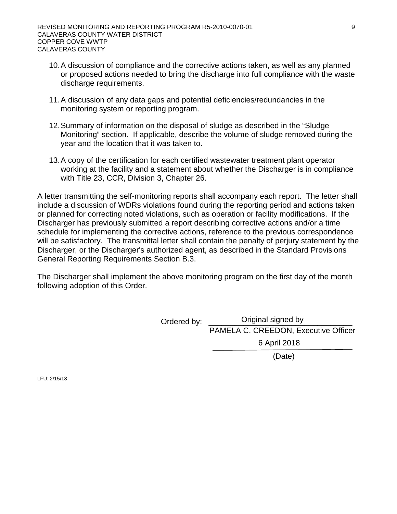- 10.A discussion of compliance and the corrective actions taken, as well as any planned or proposed actions needed to bring the discharge into full compliance with the waste discharge requirements.
- 11.A discussion of any data gaps and potential deficiencies/redundancies in the monitoring system or reporting program.
- 12.Summary of information on the disposal of sludge as described in the "Sludge Monitoring" section. If applicable, describe the volume of sludge removed during the year and the location that it was taken to.
- 13.A copy of the certification for each certified wastewater treatment plant operator working at the facility and a statement about whether the Discharger is in compliance with Title 23, CCR, Division 3, Chapter 26.

A letter transmitting the self-monitoring reports shall accompany each report. The letter shall include a discussion of WDRs violations found during the reporting period and actions taken or planned for correcting noted violations, such as operation or facility modifications. If the Discharger has previously submitted a report describing corrective actions and/or a time schedule for implementing the corrective actions, reference to the previous correspondence will be satisfactory. The transmittal letter shall contain the penalty of perjury statement by the Discharger, or the Discharger's authorized agent, as described in the Standard Provisions General Reporting Requirements Section B.3.

The Discharger shall implement the above monitoring program on the first day of the month following adoption of this Order.

> Ordered by: \_\_\_\_\_\_\_\_Original signed by PAMELA C. CREEDON, Executive Officer 6 April 2018

(Date)

LFU: 2/15/18